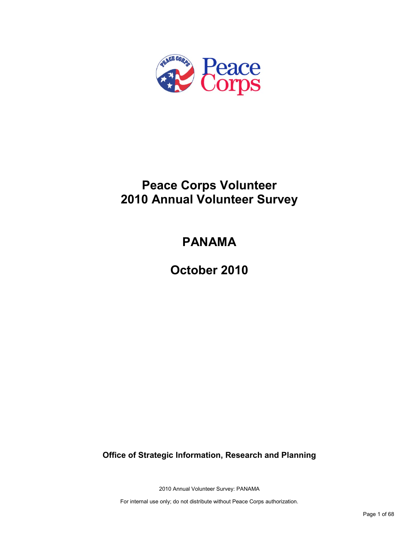

# **Peace Corps Volunteer 2010 Annual Volunteer Survey**

# **PANAMA**

**October 2010**

**Office of Strategic Information, Research and Planning**

2010 Annual Volunteer Survey: PANAMA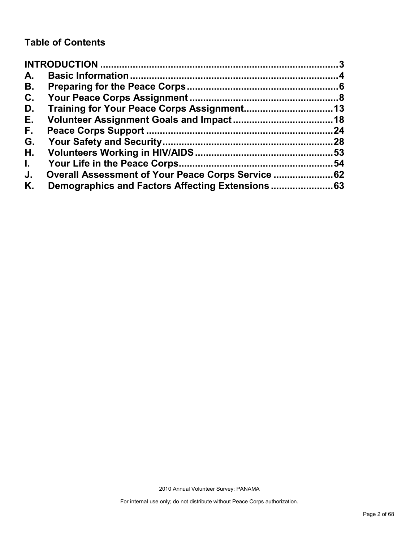### **Table of Contents**

| A.           |                                                    |     |
|--------------|----------------------------------------------------|-----|
| В.           |                                                    |     |
| C.           |                                                    |     |
| D.           |                                                    |     |
| Е.           |                                                    |     |
| F.           |                                                    | 24  |
| G.           |                                                    | .28 |
| Н.           |                                                    |     |
| $\mathbf{L}$ |                                                    | 54  |
| J.           | Overall Assessment of Your Peace Corps Service  62 |     |
| Κ.           |                                                    |     |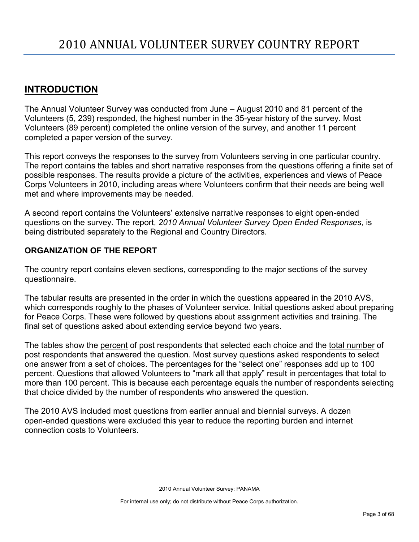### <span id="page-2-0"></span>**INTRODUCTION**

The Annual Volunteer Survey was conducted from June – August 2010 and 81 percent of the Volunteers (5, 239) responded, the highest number in the 35-year history of the survey. Most Volunteers (89 percent) completed the online version of the survey, and another 11 percent completed a paper version of the survey.

This report conveys the responses to the survey from Volunteers serving in one particular country. The report contains the tables and short narrative responses from the questions offering a finite set of possible responses. The results provide a picture of the activities, experiences and views of Peace Corps Volunteers in 2010, including areas where Volunteers confirm that their needs are being well met and where improvements may be needed.

A second report contains the Volunteers' extensive narrative responses to eight open-ended questions on the survey. The report, *2010 Annual Volunteer Survey Open Ended Responses,* is being distributed separately to the Regional and Country Directors.

### **ORGANIZATION OF THE REPORT**

The country report contains eleven sections, corresponding to the major sections of the survey questionnaire.

The tabular results are presented in the order in which the questions appeared in the 2010 AVS, which corresponds roughly to the phases of Volunteer service. Initial questions asked about preparing for Peace Corps. These were followed by questions about assignment activities and training. The final set of questions asked about extending service beyond two years.

The tables show the percent of post respondents that selected each choice and the total number of post respondents that answered the question. Most survey questions asked respondents to select one answer from a set of choices. The percentages for the "select one" responses add up to 100 percent. Questions that allowed Volunteers to "mark all that apply" result in percentages that total to more than 100 percent. This is because each percentage equals the number of respondents selecting that choice divided by the number of respondents who answered the question.

The 2010 AVS included most questions from earlier annual and biennial surveys. A dozen open-ended questions were excluded this year to reduce the reporting burden and internet connection costs to Volunteers.

2010 Annual Volunteer Survey: PANAMA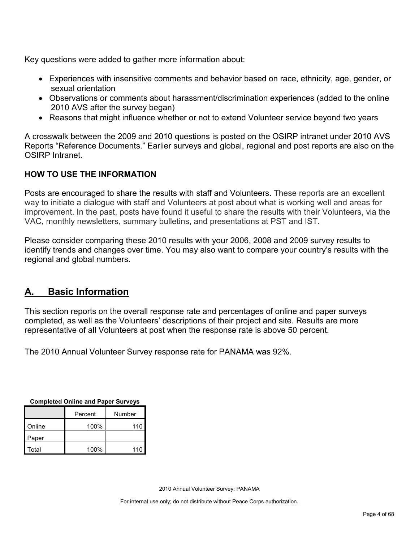Key questions were added to gather more information about:

- Experiences with insensitive comments and behavior based on race, ethnicity, age, gender, or sexual orientation
- Observations or comments about harassment/discrimination experiences (added to the online 2010 AVS after the survey began)
- Reasons that might influence whether or not to extend Volunteer service beyond two years

A crosswalk between the 2009 and 2010 questions is posted on the OSIRP intranet under 2010 AVS Reports "Reference Documents." Earlier surveys and global, regional and post reports are also on the OSIRP Intranet.

### **HOW TO USE THE INFORMATION**

Posts are encouraged to share the results with staff and Volunteers. These reports are an excellent way to initiate a dialogue with staff and Volunteers at post about what is working well and areas for improvement. In the past, posts have found it useful to share the results with their Volunteers, via the VAC, monthly newsletters, summary bulletins, and presentations at PST and IST.

Please consider comparing these 2010 results with your 2006, 2008 and 2009 survey results to identify trends and changes over time. You may also want to compare your country's results with the regional and global numbers.

### <span id="page-3-0"></span>**A. Basic Information**

This section reports on the overall response rate and percentages of online and paper surveys completed, as well as the Volunteers' descriptions of their project and site. Results are more representative of all Volunteers at post when the response rate is above 50 percent.

The 2010 Annual Volunteer Survey response rate for PANAMA was 92%.

| <b>Completed Online and Paper Surveys</b> |
|-------------------------------------------|
|-------------------------------------------|

|        | Percent | Number |
|--------|---------|--------|
| Online | 100%    | 110    |
| Paper  |         |        |
| Total  | 100%    | 110    |

2010 Annual Volunteer Survey: PANAMA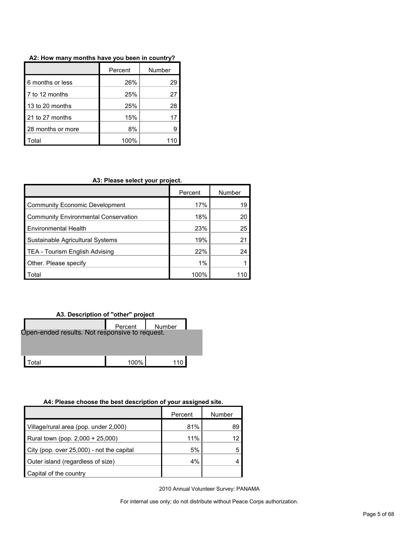|                   | Percent | Number |
|-------------------|---------|--------|
| 6 months or less  | 26%     | 29     |
| 7 to 12 months    | 25%     | 27     |
| 13 to 20 months   | 25%     | 28     |
| 21 to 27 months   | 15%     |        |
| 28 months or more | 8%      | g      |
| otal              | 100%    |        |

#### **A2: How many months have you been in country?**

#### **A3: Please select your project.**

|                                             | Percent | Number |
|---------------------------------------------|---------|--------|
| Community Economic Development              | 17%     | 19     |
| <b>Community Environmental Conservation</b> | 18%     | 20     |
| <b>Environmental Health</b>                 | 23%     | 25     |
| Sustainable Agricultural Systems            | 19%     |        |
| TEA - Tourism English Advising              | 22%     | 24     |
| Other. Please specify                       | 1%      |        |
| Total                                       | 100%    |        |

#### **A3. Description of "other" project**

|                                                | Percent | Number |  |
|------------------------------------------------|---------|--------|--|
| Open-ended results. Not responsive to request. |         |        |  |
|                                                |         |        |  |
| ʻotal                                          | 100%    |        |  |

#### **A4: Please choose the best description of your assigned site.**

|                                           | Percent | Number |
|-------------------------------------------|---------|--------|
| Village/rural area (pop. under 2,000)     | 81%     | 89     |
| Rural town (pop. 2,000 + 25,000)          | 11%     | 12     |
| City (pop. over 25,000) - not the capital | 5%      |        |
| Outer island (regardless of size)         | 4%      |        |
| Capital of the country                    |         |        |

2010 Annual Volunteer Survey: PANAMA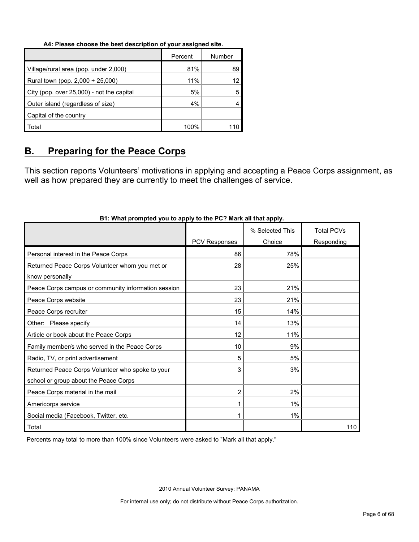#### **A4: Please choose the best description of your assigned site.**

|                                           | Percent | Number |
|-------------------------------------------|---------|--------|
| Village/rural area (pop. under 2,000)     | 81%     | 89     |
| Rural town (pop. 2,000 + 25,000)          | 11%     |        |
| City (pop. over 25,000) - not the capital | 5%      |        |
| Outer island (regardless of size)         | 4%      |        |
| Capital of the country                    |         |        |
| Total                                     | 100%    |        |

### <span id="page-5-0"></span>**B. Preparing for the Peace Corps**

This section reports Volunteers' motivations in applying and accepting a Peace Corps assignment, as well as how prepared they are currently to meet the challenges of service.

|                                                     |                      | % Selected This | <b>Total PCVs</b> |
|-----------------------------------------------------|----------------------|-----------------|-------------------|
|                                                     | <b>PCV Responses</b> | Choice          | Responding        |
| Personal interest in the Peace Corps                | 86                   | 78%             |                   |
| Returned Peace Corps Volunteer whom you met or      | 28                   | 25%             |                   |
| know personally                                     |                      |                 |                   |
| Peace Corps campus or community information session | 23                   | 21%             |                   |
| Peace Corps website                                 | 23                   | 21%             |                   |
| Peace Corps recruiter                               | 15                   | 14%             |                   |
| Other: Please specify                               | 14                   | 13%             |                   |
| Article or book about the Peace Corps               | 12                   | 11%             |                   |
| Family member/s who served in the Peace Corps       | 10                   | 9%              |                   |
| Radio, TV, or print advertisement                   | 5                    | 5%              |                   |
| Returned Peace Corps Volunteer who spoke to your    | 3                    | 3%              |                   |
| school or group about the Peace Corps               |                      |                 |                   |
| Peace Corps material in the mail                    | $\overline{2}$       | 2%              |                   |
| Americorps service                                  |                      | $1\%$           |                   |
| Social media (Facebook, Twitter, etc.               |                      | $1\%$           |                   |
| Total                                               |                      |                 | 110               |

#### **B1: What prompted you to apply to the PC? Mark all that apply.**

Percents may total to more than 100% since Volunteers were asked to "Mark all that apply."

2010 Annual Volunteer Survey: PANAMA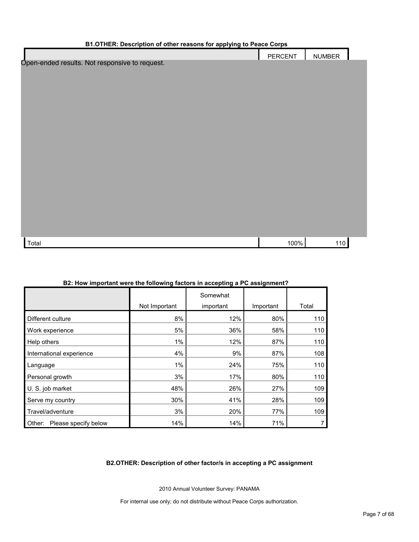| <b>B1.OTHER: Description of other reasons for applying to Peace Corps</b> |                |               |  |  |
|---------------------------------------------------------------------------|----------------|---------------|--|--|
|                                                                           | <b>PERCENT</b> | <b>NUMBER</b> |  |  |
| Open-ended results. Not responsive to request.                            |                |               |  |  |
|                                                                           |                |               |  |  |
|                                                                           |                |               |  |  |
|                                                                           |                |               |  |  |
|                                                                           |                |               |  |  |
|                                                                           |                |               |  |  |
|                                                                           |                |               |  |  |
|                                                                           |                |               |  |  |
|                                                                           |                |               |  |  |
|                                                                           |                |               |  |  |
|                                                                           |                |               |  |  |
|                                                                           |                |               |  |  |
|                                                                           |                |               |  |  |
|                                                                           |                |               |  |  |
|                                                                           |                |               |  |  |
|                                                                           |                |               |  |  |
|                                                                           |                |               |  |  |
| Total                                                                     | 100%           | 110           |  |  |

| 2. TIOW IMPORANT WEIT THE TONOWING ROLOIS IN ACCEPTING A FO ASSIGNMENT: |               |                       |           |       |
|-------------------------------------------------------------------------|---------------|-----------------------|-----------|-------|
|                                                                         | Not Important | Somewhat<br>important | Important | Total |
|                                                                         |               |                       |           |       |
| Different culture                                                       | 8%            | 12%                   | 80%       | 110   |
| Work experience                                                         | 5%            | 36%                   | 58%       | 110   |
| Help others                                                             | $1\%$         | 12%                   | 87%       | 110   |
| International experience                                                | 4%            | 9%                    | 87%       | 108   |
| Language                                                                | $1\%$         | 24%                   | 75%       | 110   |
| Personal growth                                                         | 3%            | 17%                   | 80%       | 110   |
| U. S. job market                                                        | 48%           | 26%                   | 27%       | 109   |
| Serve my country                                                        | 30%           | 41%                   | 28%       | 109   |
| Travel/adventure                                                        | 3%            | 20%                   | 77%       | 109   |
| Other: Please specify below                                             | 14%           | 14%                   | 71%       |       |

#### **B2: How important were the following factors in accepting a PC assignment?**

#### **B2.OTHER: Description of other factor/s in accepting a PC assignment**

2010 Annual Volunteer Survey: PANAMA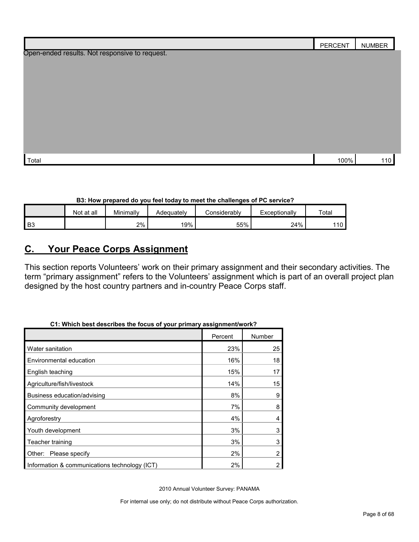|                                                | PERCENT | <b>NUMBER</b> |
|------------------------------------------------|---------|---------------|
| Open-ended results. Not responsive to request. |         |               |
|                                                |         |               |
|                                                |         |               |
|                                                |         |               |
|                                                |         |               |
|                                                |         |               |
|                                                |         |               |
|                                                |         |               |
|                                                |         |               |
| Total                                          | 100%    | 110           |

#### **B3: How prepared do you feel today to meet the challenges of PC service?**

|                | Not at all | Minimally | Adeauatelv | ≿onsiderablv | Exceptionally | Total            |
|----------------|------------|-----------|------------|--------------|---------------|------------------|
| B <sub>3</sub> |            | 2%        | 19%        | 55%          | 24%           | '10 <sub>1</sub> |

### <span id="page-7-0"></span>**C. Your Peace Corps Assignment**

This section reports Volunteers' work on their primary assignment and their secondary activities. The term "primary assignment" refers to the Volunteers' assignment which is part of an overall project plan designed by the host country partners and in-country Peace Corps staff.

|                                               | Percent | Number         |
|-----------------------------------------------|---------|----------------|
| Water sanitation                              | 23%     | 25             |
| Environmental education                       | 16%     | 18             |
| English teaching                              | 15%     | 17             |
| Agriculture/fish/livestock                    | 14%     | 15             |
| Business education/advising                   | 8%      | 9              |
| Community development                         | 7%      | 8              |
| Agroforestry                                  | 4%      | 4              |
| Youth development                             | 3%      | 3              |
| Teacher training                              | 3%      | 3              |
| Other: Please specify                         | 2%      | $\overline{2}$ |
| Information & communications technology (ICT) | 2%      | 2              |

### **C1: Which best describes the focus of your primary assignment/work?**

2010 Annual Volunteer Survey: PANAMA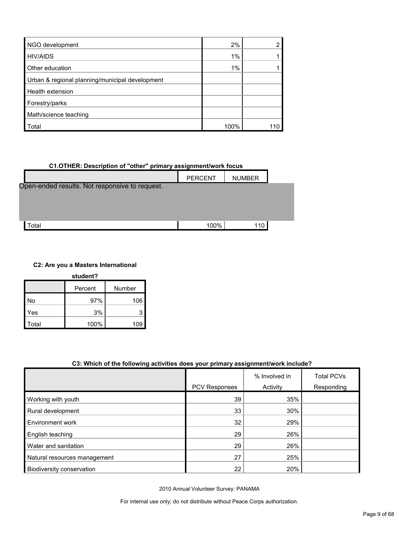| NGO development                                 | 2%   |  |
|-------------------------------------------------|------|--|
| <b>HIV/AIDS</b>                                 | 1%   |  |
| Other education                                 | 1%   |  |
| Urban & regional planning/municipal development |      |  |
| Health extension                                |      |  |
| Forestry/parks                                  |      |  |
| Math/science teaching                           |      |  |
| Total                                           | 100% |  |

# **C1.OTHER: Description of "other" primary assignment/work focus**



#### **C2: Are you a Masters International**

| student? |         |        |  |  |
|----------|---------|--------|--|--|
|          | Percent | Number |  |  |
| No       | 97%     | 106    |  |  |
| Yes      | 3%      | 3      |  |  |
| Total    | 100%    | 109    |  |  |

#### **C3: Which of the following activities does your primary assignment/work include?**

|                              |               | % Involved in | <b>Total PCVs</b> |
|------------------------------|---------------|---------------|-------------------|
|                              | PCV Responses | Activity      | Responding        |
| Working with youth           | 39            | 35%           |                   |
| Rural development            | 33            | 30%           |                   |
| Environment work             | 32            | 29%           |                   |
| English teaching             | 29            | 26%           |                   |
| Water and sanitation         | 29            | 26%           |                   |
| Natural resources management | 27            | 25%           |                   |
| Biodiversity conservation    | 22            | 20%           |                   |

2010 Annual Volunteer Survey: PANAMA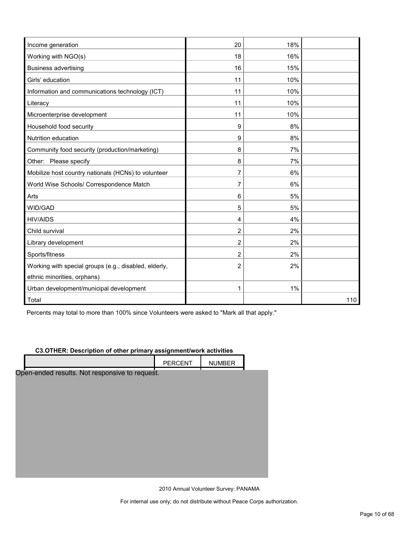| Income generation                                     | 20 | 18% |     |
|-------------------------------------------------------|----|-----|-----|
| Working with NGO(s)                                   | 18 | 16% |     |
| <b>Business advertising</b>                           | 16 | 15% |     |
| Girls' education                                      | 11 | 10% |     |
| Information and communications technology (ICT)       | 11 | 10% |     |
| Literacy                                              | 11 | 10% |     |
| Microenterprise development                           | 11 | 10% |     |
| Household food security                               | 9  | 8%  |     |
| Nutrition education                                   | 9  | 8%  |     |
| Community food security (production/marketing)        | 8  | 7%  |     |
| Other: Please specify                                 | 8  | 7%  |     |
| Mobilize host country nationals (HCNs) to volunteer   | 7  | 6%  |     |
| World Wise Schools/ Correspondence Match              | 7  | 6%  |     |
| Arts                                                  | 6  | 5%  |     |
| WID/GAD                                               | 5  | 5%  |     |
| <b>HIV/AIDS</b>                                       | 4  | 4%  |     |
| Child survival                                        | 2  | 2%  |     |
| Library development                                   | 2  | 2%  |     |
| Sports/fitness                                        | 2  | 2%  |     |
| Working with special groups (e.g., disabled, elderly, | 2  | 2%  |     |
| ethnic minorities, orphans)                           |    |     |     |
| Urban development/municipal development               | 1  | 1%  |     |
| Total                                                 |    |     | 110 |

Percents may total to more than 100% since Volunteers were asked to "Mark all that apply."

#### **C3.OTHER: Description of other primary assignment/work activities**

|                                                | PERCENT | <b>NUMBER</b> |  |
|------------------------------------------------|---------|---------------|--|
| Open-ended results. Not responsive to request. |         |               |  |
|                                                |         |               |  |
|                                                |         |               |  |
|                                                |         |               |  |
|                                                |         |               |  |
|                                                |         |               |  |
|                                                |         |               |  |
|                                                |         |               |  |
|                                                |         |               |  |
|                                                |         |               |  |

2010 Annual Volunteer Survey: PANAMA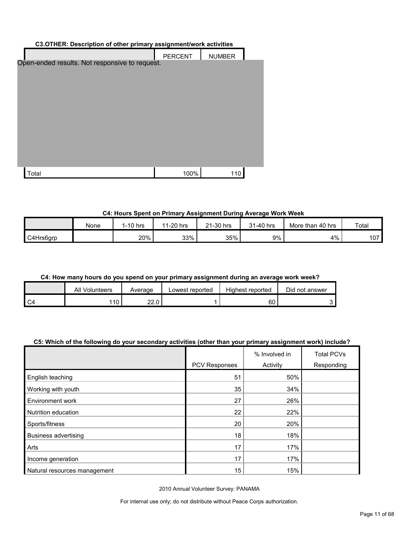| C3.OTHER: Description of other primary assignment/work activities |                |               |  |  |  |
|-------------------------------------------------------------------|----------------|---------------|--|--|--|
|                                                                   | <b>PERCENT</b> | <b>NUMBER</b> |  |  |  |
| Open-ended results. Not responsive to request.                    |                |               |  |  |  |
|                                                                   |                |               |  |  |  |
| Total                                                             | 100%           | 110           |  |  |  |

#### **C4: Hours Spent on Primary Assignment During Average Work Week**

|           | None | $1-10$ hrs | 1-20 hrs<br>44 | 21-30 hrs<br>$^{\circ}$ | ่ 31-40 hrs | More than 40 hrs | Total |
|-----------|------|------------|----------------|-------------------------|-------------|------------------|-------|
| C4Hrs6grp |      | 20%        | 33%            | 35%                     | 9%          | 4%               | 107   |

#### **C4: How many hours do you spend on your primary assignment during an average work week?**

| All Volunteers | Average      | Lowest reported | Highest reported | Did not answer |
|----------------|--------------|-----------------|------------------|----------------|
| 10             | nn n<br>44.U |                 | 60               |                |

#### **C5: Which of the following do your secondary activities (other than your primary assignment work) include?**

|                              |               | % Involved in | <b>Total PCVs</b> |
|------------------------------|---------------|---------------|-------------------|
|                              | PCV Responses | Activity      | Responding        |
| English teaching             | 51            | 50%           |                   |
| Working with youth           | 35            | 34%           |                   |
| Environment work             | 27            | 26%           |                   |
| Nutrition education          | 22            | 22%           |                   |
| Sports/fitness               | 20            | 20%           |                   |
| <b>Business advertising</b>  | 18            | 18%           |                   |
| Arts                         | 17            | 17%           |                   |
| Income generation            | 17            | 17%           |                   |
| Natural resources management | 15            | 15%           |                   |

2010 Annual Volunteer Survey: PANAMA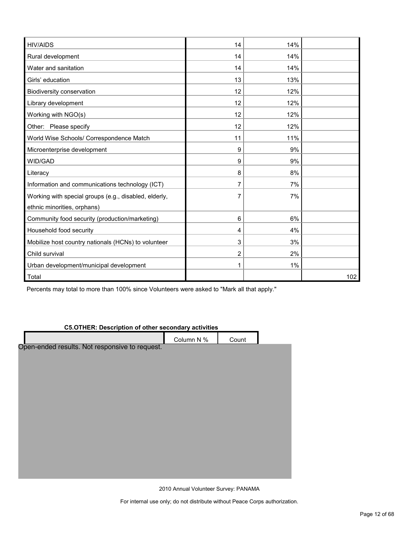| <b>HIV/AIDS</b>                                       | 14             | 14% |     |
|-------------------------------------------------------|----------------|-----|-----|
| Rural development                                     | 14             | 14% |     |
| Water and sanitation                                  | 14             | 14% |     |
| Girls' education                                      | 13             | 13% |     |
| Biodiversity conservation                             | 12             | 12% |     |
| Library development                                   | 12             | 12% |     |
| Working with NGO(s)                                   | 12             | 12% |     |
| Other: Please specify                                 | 12             | 12% |     |
| World Wise Schools/ Correspondence Match              | 11             | 11% |     |
| Microenterprise development                           | 9              | 9%  |     |
| WID/GAD                                               | 9              | 9%  |     |
| Literacy                                              | 8              | 8%  |     |
| Information and communications technology (ICT)       | 7              | 7%  |     |
| Working with special groups (e.g., disabled, elderly, | 7              | 7%  |     |
| ethnic minorities, orphans)                           |                |     |     |
| Community food security (production/marketing)        | 6              | 6%  |     |
| Household food security                               | 4              | 4%  |     |
| Mobilize host country nationals (HCNs) to volunteer   | 3              | 3%  |     |
| Child survival                                        | $\overline{2}$ | 2%  |     |
| Urban development/municipal development               | 1              | 1%  |     |
| Total                                                 |                |     | 102 |

Percents may total to more than 100% since Volunteers were asked to "Mark all that apply."

#### **C5.OTHER: Description of other secondary activities**

|                                                | Column N % | Count |  |
|------------------------------------------------|------------|-------|--|
| Open-ended results. Not responsive to request. |            |       |  |
|                                                |            |       |  |
|                                                |            |       |  |
|                                                |            |       |  |
|                                                |            |       |  |
|                                                |            |       |  |
|                                                |            |       |  |
|                                                |            |       |  |
|                                                |            |       |  |
|                                                |            |       |  |
|                                                |            |       |  |
|                                                |            |       |  |

2010 Annual Volunteer Survey: PANAMA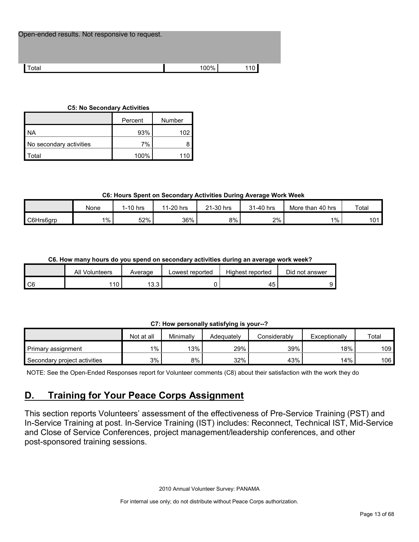Total 100% 110

#### **C5: No Secondary Activities**

|                         | Number<br>Percent |     |  |
|-------------------------|-------------------|-----|--|
| <b>NA</b>               | 93%               | 102 |  |
| No secondary activities | 7%                |     |  |
| `otal                   | 100%              |     |  |

#### **C6: Hours Spent on Secondary Activities During Average Work Week**

|           | None  | $1-10$ hrs | 1-20 hrs<br>44 | 21-30 hrs | 31-40 hrs | 40 hrs<br>More than | Total |
|-----------|-------|------------|----------------|-----------|-----------|---------------------|-------|
| C6Hrs6grp | $1\%$ | 52%        | 36%            | 8%        | 2%        | $1\%$               | 101   |

#### **C6. How many hours do you spend on secondary activities during an average work week?**

|    | All Volunteers | Average    | Lowest reported | Highest reported | Did not answer |
|----|----------------|------------|-----------------|------------------|----------------|
| C6 | 110            | 132<br>ט.ט |                 | 45               |                |

#### **C7: How personally satisfying is your--?**

|                              | Not at all | Minimally | Adequately | Considerably | Exceptionally | Total |
|------------------------------|------------|-----------|------------|--------------|---------------|-------|
| Primary assignment           | 1%         | 13%       | 29%        | 39%          | $18\%$        | 109   |
| Secondary project activities | 3%         | 8%        | 32%        | 43%          | 14%           | 106   |

NOTE: See the Open-Ended Responses report for Volunteer comments (C8) about their satisfaction with the work they do

## <span id="page-12-0"></span>**D. Training for Your Peace Corps Assignment**

This section reports Volunteers' assessment of the effectiveness of Pre-Service Training (PST) and In-Service Training at post. In-Service Training (IST) includes: Reconnect, Technical IST, Mid-Service and Close of Service Conferences, project management/leadership conferences, and other post-sponsored training sessions.

2010 Annual Volunteer Survey: PANAMA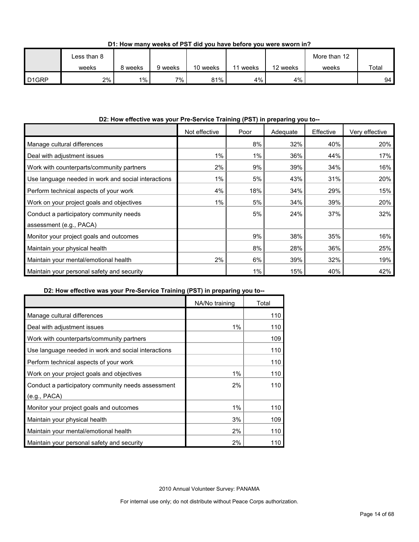|                   | Less than 8 |         |         |          |       |          | More than 12 |       |
|-------------------|-------------|---------|---------|----------|-------|----------|--------------|-------|
|                   | weeks       | გ weeks | 9 weeks | 10 weeks | weeks | 12 weeks | weeks        | Total |
| D <sub>1GRP</sub> | 2%          | $1\%$   | $7\%$   | 81%      | 4%    | 4%       |              | 94    |

**D1: How many weeks of PST did you have before you were sworn in?**

#### **D2: How effective was your Pre-Service Training (PST) in preparing you to--**

|                                                     | Not effective | Poor  | Adequate | Effective | Very effective |
|-----------------------------------------------------|---------------|-------|----------|-----------|----------------|
| Manage cultural differences                         |               | 8%    | 32%      | 40%       | 20%            |
| Deal with adjustment issues                         | 1%            | $1\%$ | 36%      | 44%       | 17%            |
| Work with counterparts/community partners           | 2%            | 9%    | 39%      | 34%       | 16%            |
| Use language needed in work and social interactions | $1\%$         | 5%    | 43%      | 31%       | 20%            |
| Perform technical aspects of your work              | 4%            | 18%   | 34%      | 29%       | 15%            |
| Work on your project goals and objectives           | $1\%$         | 5%    | 34%      | 39%       | 20%            |
| Conduct a participatory community needs             |               | 5%    | 24%      | 37%       | 32%            |
| assessment (e.g., PACA)                             |               |       |          |           |                |
| Monitor your project goals and outcomes             |               | 9%    | 38%      | 35%       | 16%            |
| Maintain your physical health                       |               | 8%    | 28%      | 36%       | 25%            |
| Maintain your mental/emotional health               | 2%            | 6%    | 39%      | 32%       | 19%            |
| Maintain your personal safety and security          |               | 1%    | 15%      | 40%       | 42%            |

#### **D2: How effective was your Pre-Service Training (PST) in preparing you to--**

|                                                     | NA/No training | Total |
|-----------------------------------------------------|----------------|-------|
| Manage cultural differences                         |                | 110   |
| Deal with adjustment issues                         | 1%             | 110   |
| Work with counterparts/community partners           |                | 109   |
| Use language needed in work and social interactions |                | 110   |
| Perform technical aspects of your work              |                | 110   |
| Work on your project goals and objectives           | $1\%$          | 110   |
| Conduct a participatory community needs assessment  | 2%             | 110   |
| (e.g., PACA)                                        |                |       |
| Monitor your project goals and outcomes             | 1%             | 110   |
| Maintain your physical health                       | 3%             | 109   |
| Maintain your mental/emotional health               | 2%             | 110   |
| Maintain your personal safety and security          | 2%             | 110   |

2010 Annual Volunteer Survey: PANAMA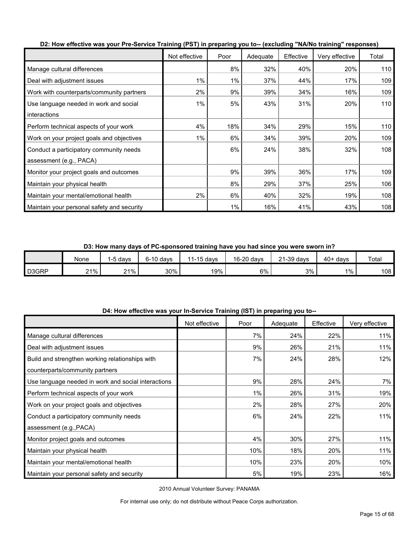|                                            | Not effective | Poor | Adequate | Effective | Very effective | Total |
|--------------------------------------------|---------------|------|----------|-----------|----------------|-------|
| Manage cultural differences                |               | 8%   | 32%      | 40%       | 20%            | 110   |
| Deal with adjustment issues                | 1%            | 1%   | 37%      | 44%       | 17%            | 109   |
| Work with counterparts/community partners  | 2%            | 9%   | 39%      | 34%       | 16%            | 109   |
| Use language needed in work and social     | 1%            | 5%   | 43%      | 31%       | 20%            | 110   |
| interactions                               |               |      |          |           |                |       |
| Perform technical aspects of your work     | 4%            | 18%  | 34%      | 29%       | 15%            | 110   |
| Work on your project goals and objectives  | 1%            | 6%   | 34%      | 39%       | 20%            | 109   |
| Conduct a participatory community needs    |               | 6%   | 24%      | 38%       | 32%            | 108   |
| assessment (e.g., PACA)                    |               |      |          |           |                |       |
| Monitor your project goals and outcomes    |               | 9%   | 39%      | 36%       | 17%            | 109   |
| Maintain your physical health              |               | 8%   | 29%      | 37%       | 25%            | 106   |
| Maintain your mental/emotional health      | 2%            | 6%   | 40%      | 32%       | 19%            | 108   |
| Maintain your personal safety and security |               | 1%   | 16%      | 41%       | 43%            | 108   |

**D2: How effective was your Pre-Service Training (PST) in preparing you to-- (excluding "NA/No training" responses)**

**D3: How many days of PC-sponsored training have you had since you were sworn in?**

|       | None   | -5 davs | $6-10$ davs | $1-15$ days<br>$-11$ | 16-20 days | 21-39 days | $40+$ days | Total |
|-------|--------|---------|-------------|----------------------|------------|------------|------------|-------|
| D3GRP | $21\%$ | 21%     | 30% l       | 19%                  | 6%         | 3%         | 1%         | 108   |

| D4: How effective was your In-Service Training (IST) in preparing you to-- |  |
|----------------------------------------------------------------------------|--|
|----------------------------------------------------------------------------|--|

|                                                     | Not effective | Poor | Adequate | Effective | Very effective |
|-----------------------------------------------------|---------------|------|----------|-----------|----------------|
| Manage cultural differences                         |               | 7%   | 24%      | 22%       | 11%            |
| Deal with adjustment issues                         |               | 9%   | 26%      | 21%       | 11%            |
| Build and strengthen working relationships with     |               | 7%   | 24%      | 28%       | 12%            |
| counterparts/community partners                     |               |      |          |           |                |
| Use language needed in work and social interactions |               | 9%   | 28%      | 24%       | 7%             |
| Perform technical aspects of your work              |               | 1%   | 26%      | 31%       | 19%            |
| Work on your project goals and objectives           |               | 2%   | 28%      | 27%       | 20%            |
| Conduct a participatory community needs             |               | 6%   | 24%      | 22%       | 11%            |
| assessment (e.g., PACA)                             |               |      |          |           |                |
| Monitor project goals and outcomes                  |               | 4%   | 30%      | 27%       | 11%            |
| Maintain your physical health                       |               | 10%  | 18%      | 20%       | 11%            |
| Maintain your mental/emotional health               |               | 10%  | 23%      | 20%       | 10%            |
| Maintain your personal safety and security          |               | 5%   | 19%      | 23%       | 16%            |

2010 Annual Volunteer Survey: PANAMA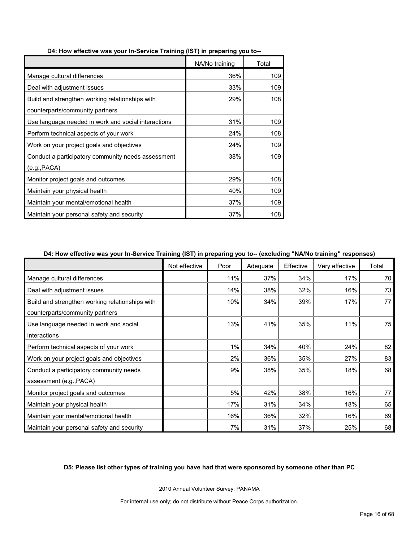|                                                     | NA/No training | Total |
|-----------------------------------------------------|----------------|-------|
| Manage cultural differences                         | 36%            | 109   |
| Deal with adjustment issues                         | 33%            | 109   |
| Build and strengthen working relationships with     | 29%            | 108   |
| counterparts/community partners                     |                |       |
| Use language needed in work and social interactions | 31%            | 109   |
| Perform technical aspects of your work              | 24%            | 108   |
| Work on your project goals and objectives           | 24%            | 109   |
| Conduct a participatory community needs assessment  | 38%            | 109   |
| (e.g., PACA)                                        |                |       |
| Monitor project goals and outcomes                  | 29%            | 108   |
| Maintain your physical health                       | 40%            | 109   |
| Maintain your mental/emotional health               | 37%            | 109   |
| Maintain your personal safety and security          | 37%            | 108   |

#### **D4: How effective was your In-Service Training (IST) in preparing you to--**

#### **D4: How effective was your In-Service Training (IST) in preparing you to-- (excluding "NA/No training" responses)**

|                                                 | Not effective | Poor | Adequate | Effective | Very effective | Total |
|-------------------------------------------------|---------------|------|----------|-----------|----------------|-------|
| Manage cultural differences                     |               | 11%  | 37%      | 34%       | 17%            | 70    |
| Deal with adjustment issues                     |               | 14%  | 38%      | 32%       | 16%            | 73    |
| Build and strengthen working relationships with |               | 10%  | 34%      | 39%       | 17%            | 77    |
| counterparts/community partners                 |               |      |          |           |                |       |
| Use language needed in work and social          |               | 13%  | 41%      | 35%       | 11%            | 75    |
| interactions                                    |               |      |          |           |                |       |
| Perform technical aspects of your work          |               | 1%   | 34%      | 40%       | 24%            | 82    |
| Work on your project goals and objectives       |               | 2%   | 36%      | 35%       | 27%            | 83    |
| Conduct a participatory community needs         |               | 9%   | 38%      | 35%       | 18%            | 68    |
| assessment (e.g., PACA)                         |               |      |          |           |                |       |
| Monitor project goals and outcomes              |               | 5%   | 42%      | 38%       | 16%            | 77    |
| Maintain your physical health                   |               | 17%  | 31%      | 34%       | 18%            | 65    |
| Maintain your mental/emotional health           |               | 16%  | 36%      | 32%       | 16%            | 69    |
| Maintain your personal safety and security      |               | 7%   | 31%      | 37%       | 25%            | 68    |

#### **D5: Please list other types of training you have had that were sponsored by someone other than PC**

2010 Annual Volunteer Survey: PANAMA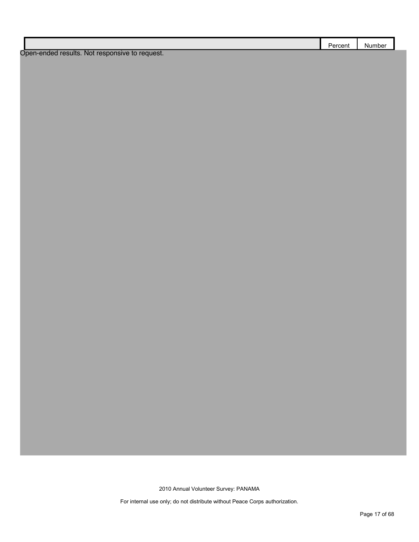|                                                | Percent | Number |
|------------------------------------------------|---------|--------|
| Open-ended results. Not responsive to request. |         |        |

2010 Annual Volunteer Survey: PANAMA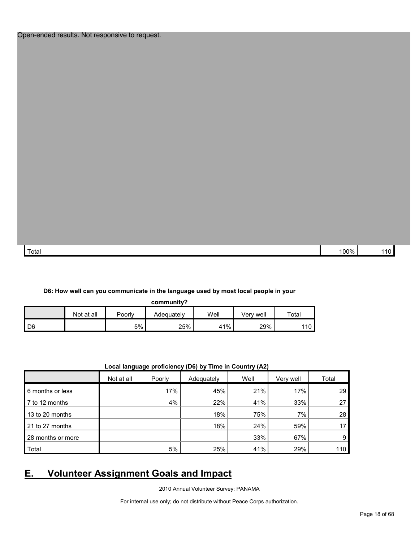| 100%<br>Total |  |  |
|---------------|--|--|
|               |  |  |

#### **D6: How well can you communicate in the language used by most local people in your**

**community?**

|      | Not at all | Poorly | Adeauatelv | Well | Verv well | Total |
|------|------------|--------|------------|------|-----------|-------|
| I D6 |            | 5%     | 25%        | 41%  | 29%       | 110   |

|  | Local language proficiency (D6) by Time in Country (A2) |  |
|--|---------------------------------------------------------|--|
|--|---------------------------------------------------------|--|

|                   | $\cdot$    | .      | .          | $\cdots$ |           |       |
|-------------------|------------|--------|------------|----------|-----------|-------|
|                   | Not at all | Poorly | Adequately | Well     | Very well | Total |
| 6 months or less  |            | 17%    | 45%        | 21%      | 17%       | 29    |
| 7 to 12 months    |            | 4%     | 22%        | 41%      | 33%       | 27    |
| 13 to 20 months   |            |        | 18%        | 75%      | 7%        | 28    |
| 21 to 27 months   |            |        | 18%        | 24%      | 59%       | 17    |
| 28 months or more |            |        |            | 33%      | 67%       | 9     |
| Total             |            | 5%     | 25%        | 41%      | 29%       | 110   |

## <span id="page-17-0"></span>**E. Volunteer Assignment Goals and Impact**

2010 Annual Volunteer Survey: PANAMA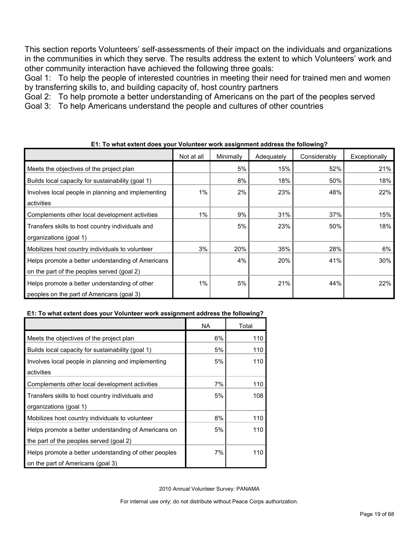This section reports Volunteers' self-assessments of their impact on the individuals and organizations in the communities in which they serve. The results address the extent to which Volunteers' work and other community interaction have achieved the following three goals:

Goal 1: To help the people of interested countries in meeting their need for trained men and women by transferring skills to, and building capacity of, host country partners

Goal 2: To help promote a better understanding of Americans on the part of the peoples served

Goal 3: To help Americans understand the people and cultures of other countries

|                                                    | Not at all | Minimally | Adequately | Considerably | Exceptionally |
|----------------------------------------------------|------------|-----------|------------|--------------|---------------|
| Meets the objectives of the project plan           |            | 5%        | 15%        | 52%          | 21%           |
| Builds local capacity for sustainability (goal 1)  |            | 8%        | 18%        | 50%          | 18%           |
| Involves local people in planning and implementing | 1%         | 2%        | 23%        | 48%          | 22%           |
| activities                                         |            |           |            |              |               |
| Complements other local development activities     | 1%         | 9%        | 31%        | 37%          | 15%           |
| Transfers skills to host country individuals and   |            | 5%        | 23%        | 50%          | 18%           |
| organizations (goal 1)                             |            |           |            |              |               |
| Mobilizes host country individuals to volunteer    | 3%         | 20%       | 35%        | 28%          | 6%            |
| Helps promote a better understanding of Americans  |            | 4%        | 20%        | 41%          | 30%           |
| on the part of the peoples served (goal 2)         |            |           |            |              |               |
| Helps promote a better understanding of other      | $1\%$      | 5%        | 21%        | 44%          | 22%           |
| peoples on the part of Americans (goal 3)          |            |           |            |              |               |

#### **E1: To what extent does your Volunteer work assignment address the following?**

### **E1: To what extent does your Volunteer work assignment address the following?**

|                                                       | <b>NA</b> | Total |
|-------------------------------------------------------|-----------|-------|
| Meets the objectives of the project plan              | 6%        | 110   |
| Builds local capacity for sustainability (goal 1)     | 5%        | 110   |
| Involves local people in planning and implementing    | 5%        | 110   |
| activities                                            |           |       |
| Complements other local development activities        | 7%        | 110   |
| Transfers skills to host country individuals and      | 5%        | 108   |
| organizations (goal 1)                                |           |       |
| Mobilizes host country individuals to volunteer       | 8%        | 110   |
| Helps promote a better understanding of Americans on  | 5%        | 110   |
| the part of the peoples served (goal 2)               |           |       |
| Helps promote a better understanding of other peoples | 7%        | 110   |
| on the part of Americans (goal 3)                     |           |       |

2010 Annual Volunteer Survey: PANAMA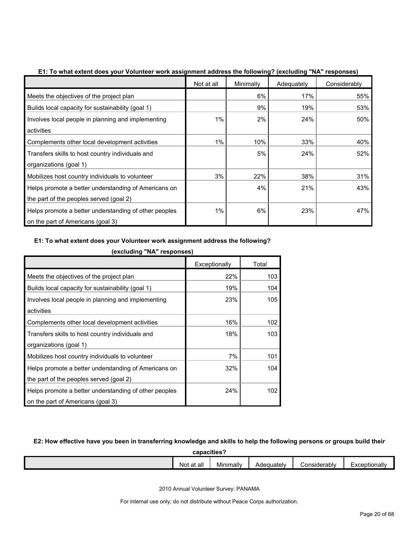|                                                       | Not at all | Minimally | Adequately | Considerably |
|-------------------------------------------------------|------------|-----------|------------|--------------|
| Meets the objectives of the project plan              |            | 6%        | 17%        | 55%          |
| Builds local capacity for sustainability (goal 1)     |            | 9%        | 19%        | 53%          |
| Involves local people in planning and implementing    | 1%         | 2%        | 24%        | 50%          |
| activities                                            |            |           |            |              |
| Complements other local development activities        | 1%         | 10%       | 33%        | 40%          |
| Transfers skills to host country individuals and      |            | 5%        | 24%        | 52%          |
| organizations (goal 1)                                |            |           |            |              |
| Mobilizes host country individuals to volunteer       | 3%         | 22%       | 38%        | 31%          |
| Helps promote a better understanding of Americans on  |            | 4%        | 21%        | 43%          |
| the part of the peoples served (goal 2)               |            |           |            |              |
| Helps promote a better understanding of other peoples | 1%         | 6%        | 23%        | 47%          |
| on the part of Americans (goal 3)                     |            |           |            |              |

**E1: To what extent does your Volunteer work assignment address the following? (excluding "NA" responses)**

#### **E1: To what extent does your Volunteer work assignment address the following?**

|                                                       | Exceptionally | Total |
|-------------------------------------------------------|---------------|-------|
| Meets the objectives of the project plan              | 22%           | 103   |
| Builds local capacity for sustainability (goal 1)     | 19%           | 104   |
| Involves local people in planning and implementing    | 23%           | 105   |
| activities                                            |               |       |
| Complements other local development activities        | 16%           | 102   |
| Transfers skills to host country individuals and      | 18%           | 103   |
| organizations (goal 1)                                |               |       |
| Mobilizes host country individuals to volunteer       | 7%            | 101   |
| Helps promote a better understanding of Americans on  | 32%           | 104   |
| the part of the peoples served (goal 2)               |               |       |
| Helps promote a better understanding of other peoples | 24%           | 102   |
| on the part of Americans (goal 3)                     |               |       |

**(excluding "NA" responses)**

### **E2: How effective have you been in transferring knowledge and skills to help the following persons or groups build their**

**capacities?**

| $\overline{\phantom{0}}$<br><br>Not<br>Considerably<br>Exceptionally<br>Minimally<br>Adequatelv<br>at all |  |  |  |  |  |  |
|-----------------------------------------------------------------------------------------------------------|--|--|--|--|--|--|
|                                                                                                           |  |  |  |  |  |  |

2010 Annual Volunteer Survey: PANAMA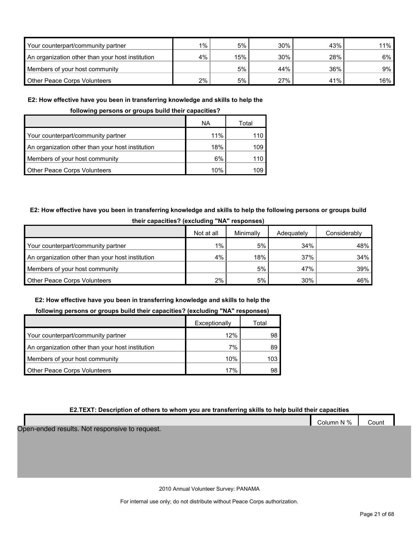| Your counterpart/community partner               | $1\%$ 1 | 5%  | 30% | 43% | 11%    |
|--------------------------------------------------|---------|-----|-----|-----|--------|
| An organization other than your host institution | 4%      | 15% | 30% | 28% | $6\%$  |
| Members of your host community                   |         | 5%  | 44% | 36% | $9\%$  |
| Other Peace Corps Volunteers                     | $2\%$   | 5%  | 27% | 41% | $16\%$ |

#### **E2: How effective have you been in transferring knowledge and skills to help the**

**following persons or groups build their capacities?**

|                                                  | ΝA  | Total |
|--------------------------------------------------|-----|-------|
| Your counterpart/community partner               | 11% | 110   |
| An organization other than your host institution | 18% | 109   |
| Members of your host community                   | 6%  |       |
| <b>Other Peace Corps Volunteers</b>              | 10% | 109   |

#### **E2: How effective have you been in transferring knowledge and skills to help the following persons or groups build their capacities? (excluding "NA" responses)**

|                                                  | Not at all | Minimally | Adequately | Considerably |  |  |  |  |
|--------------------------------------------------|------------|-----------|------------|--------------|--|--|--|--|
| Your counterpart/community partner               | $1\%$      | 5%        | 34%        | 48%          |  |  |  |  |
| An organization other than your host institution | 4%         | 18%       | 37%        | $34\%$       |  |  |  |  |
| Members of your host community                   |            | 5%        | 47%        | 39%          |  |  |  |  |
| <b>Other Peace Corps Volunteers</b>              | $2\%$      | 5%        | 30%        | 46%          |  |  |  |  |

#### **E2: How effective have you been in transferring knowledge and skills to help the**

#### **following persons or groups build their capacities? (excluding "NA" responses)**

|                                                  | Exceptionally | Total |
|--------------------------------------------------|---------------|-------|
| Your counterpart/community partner               | 12%           | 98    |
| An organization other than your host institution | 7%            | 89    |
| Members of your host community                   | 10%           | 103.  |
| <b>Other Peace Corps Volunteers</b>              | 17%           | 98.   |

#### **E2.TEXT: Description of others to whom you are transferring skills to help build their capacities**

Column N % Count Open-ended results. Not responsive to request.

2010 Annual Volunteer Survey: PANAMA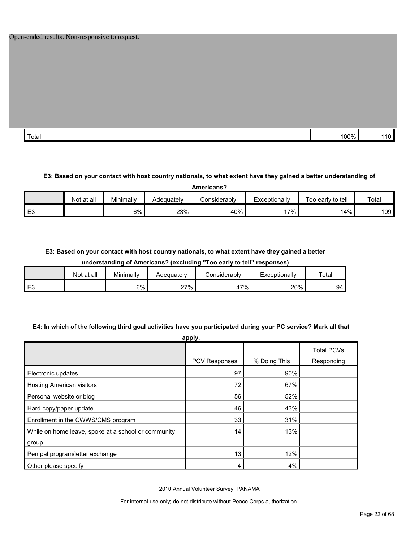| Total | 00% | . .<br>. . |
|-------|-----|------------|

#### **E3: Based on your contact with host country nationals, to what extent have they gained a better understanding of**

| Americans?     |            |           |            |              |               |                   |       |  |
|----------------|------------|-----------|------------|--------------|---------------|-------------------|-------|--|
|                | Not at all | Minimally | Adequately | Considerablv | Exceptionally | Too early to tell | Total |  |
| E <sub>3</sub> |            | 6%        | 23%        | 40%          | $'7\%$ .      | 14%               | 109   |  |

#### **E3: Based on your contact with host country nationals, to what extent have they gained a better**

#### **understanding of Americans? (excluding "Too early to tell" responses)**

|      | Not at all | Minimally | Adequatelv | ≿onsiderablv | Exceptionally | Total   |
|------|------------|-----------|------------|--------------|---------------|---------|
| ن با |            | 6%        | 27%        | 17%<br>4.    | 20%           | QΔ<br>ັ |

#### **E4: In which of the following third goal activities have you participated during your PC service? Mark all that**

| apply.                                              |                      |              |                                 |  |  |  |  |
|-----------------------------------------------------|----------------------|--------------|---------------------------------|--|--|--|--|
|                                                     | <b>PCV Responses</b> | % Doing This | <b>Total PCVs</b><br>Responding |  |  |  |  |
| Electronic updates                                  | 97                   | 90%          |                                 |  |  |  |  |
| <b>Hosting American visitors</b>                    | 72                   | 67%          |                                 |  |  |  |  |
| Personal website or blog                            | 56                   | 52%          |                                 |  |  |  |  |
| Hard copy/paper update                              | 46                   | 43%          |                                 |  |  |  |  |
| Enrollment in the CWWS/CMS program                  | 33                   | 31%          |                                 |  |  |  |  |
| While on home leave, spoke at a school or community | 14                   | 13%          |                                 |  |  |  |  |
| group                                               |                      |              |                                 |  |  |  |  |
| Pen pal program/letter exchange                     | 13                   | 12%          |                                 |  |  |  |  |
| Other please specify                                | 4                    | 4%           |                                 |  |  |  |  |

2010 Annual Volunteer Survey: PANAMA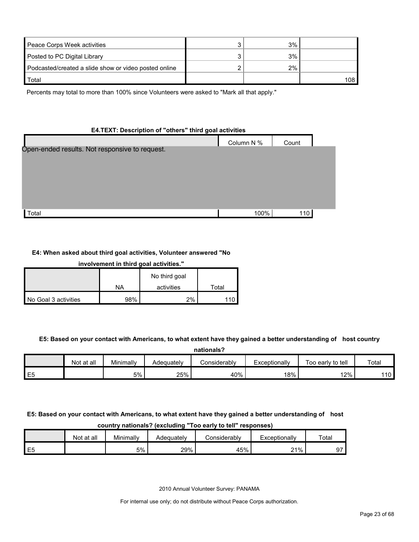| Peace Corps Week activities                           | 3% |     |
|-------------------------------------------------------|----|-----|
| Posted to PC Digital Library                          | 3% |     |
| Podcasted/created a slide show or video posted online | 2% |     |
| Total                                                 |    | 108 |

Percents may total to more than 100% since Volunteers were asked to "Mark all that apply."

#### **E4.TEXT: Description of "others" third goal activities**

|                                                | Column N % | Count |  |
|------------------------------------------------|------------|-------|--|
| Open-ended results. Not responsive to request. |            |       |  |
|                                                |            |       |  |
| Total                                          | 100%       | 110   |  |

#### **E4: When asked about third goal activities, Volunteer answered "No**

| involvement in third goal activities." |     |               |       |  |  |  |
|----------------------------------------|-----|---------------|-------|--|--|--|
|                                        |     | No third goal |       |  |  |  |
|                                        | NA  | activities    | Total |  |  |  |
| No Goal 3 activities                   | 98% | 2%            |       |  |  |  |

#### **E5: Based on your contact with Americans, to what extent have they gained a better understanding of host country**

| nationals?     |            |           |            |              |               |                   |                 |  |
|----------------|------------|-----------|------------|--------------|---------------|-------------------|-----------------|--|
|                | Not at all | Minimally | Adequatelv | Considerablv | Exceptionally | Too early to tell | Total           |  |
| E <sub>5</sub> |            | 5%        | 25%        | 40%          | 18%           | 12%               | 10 <sup>°</sup> |  |

#### **E5: Based on your contact with Americans, to what extent have they gained a better understanding of host country nationals? (excluding "Too early to tell" responses)**

| ---------<br>-------------<br>---------<br>--------<br>---------- |            |           |            |              |               |       |  |  |  |
|-------------------------------------------------------------------|------------|-----------|------------|--------------|---------------|-------|--|--|--|
|                                                                   | Not at all | Minimally | Adequately | ≿onsiderablv | ⊑xceptionally | Total |  |  |  |
| E <sub>5</sub>                                                    |            | 5%        | 29%        | 45%          | 21%           |       |  |  |  |

2010 Annual Volunteer Survey: PANAMA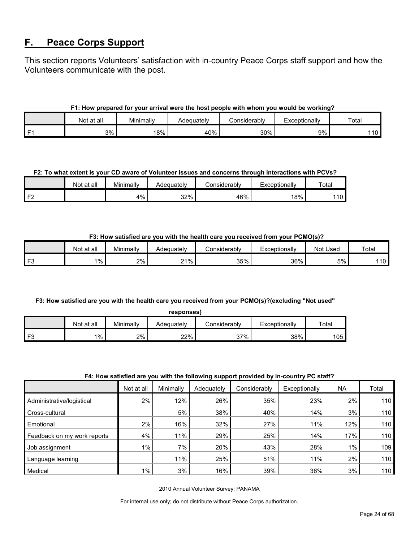### <span id="page-23-0"></span>**F. Peace Corps Support**

This section reports Volunteers' satisfaction with in-country Peace Corps staff support and how the Volunteers communicate with the post.

#### **F1: How prepared for your arrival were the host people with whom you would be working?**

|    | at all<br>Not | Minimally | Adequately | Considerablv | Exceptionally | Total      |
|----|---------------|-----------|------------|--------------|---------------|------------|
| г. | 3%            | 18%       | 40%        | 30%          | 9%            | 101<br>. ט |

#### **F2: To what extent is your CD aware of Volunteer issues and concerns through interactions with PCVs?**

|                | Not at all | Minimally | Adeauatelv | onsiderablyٽ | Exceptionally | Total |
|----------------|------------|-----------|------------|--------------|---------------|-------|
| F <sub>2</sub> |            | 4%        | 32%        | 46%          | 18%           | 110   |

#### **F3: How satisfied are you with the health care you received from your PCMO(s)?**

|    | Not at all | Minimally | Adequately | onsiderablyٹ | Exceptionally | <b>Not Used</b> | Total  |
|----|------------|-----------|------------|--------------|---------------|-----------------|--------|
| F3 | $1\%$      | 2%        | $21\%$     | 35%          | 36%           | 5%              | .<br>. |

#### **F3: How satisfied are you with the health care you received from your PCMO(s)?(excluding "Not used" responses)**

| responses) |            |           |            |               |               |       |  |  |
|------------|------------|-----------|------------|---------------|---------------|-------|--|--|
|            | Not at all | Minimally | Adequately | considerablv: | Exceptionally | Total |  |  |
| F3         | 1%         | 2%        | 22%        | 37%           | 38%           | 105   |  |  |

#### **F4: How satisfied are you with the following support provided by in-country PC staff?**

|                             |            |           | .          |              |               |           |       |
|-----------------------------|------------|-----------|------------|--------------|---------------|-----------|-------|
|                             | Not at all | Minimally | Adequately | Considerably | Exceptionally | <b>NA</b> | Total |
| Administrative/logistical   | 2%         | 12%       | 26%        | 35%          | 23%           | 2%        | 110   |
| Cross-cultural              |            | 5%        | 38%        | 40%          | 14%           | 3%        | 110   |
| Emotional                   | 2%         | 16%       | 32%        | 27%          | 11%           | 12%       | 110   |
| Feedback on my work reports | 4%         | 11%       | 29%        | 25%          | 14%           | 17%       | 110   |
| Job assignment              | $1\%$      | 7%        | 20%        | 43%          | 28%           | $1\%$     | 109   |
| Language learning           |            | 11%       | 25%        | 51%          | 11%           | 2%        | 110   |
| Medical                     | $1\%$      | 3%        | 16%        | 39%          | 38%           | 3%        | 110   |

2010 Annual Volunteer Survey: PANAMA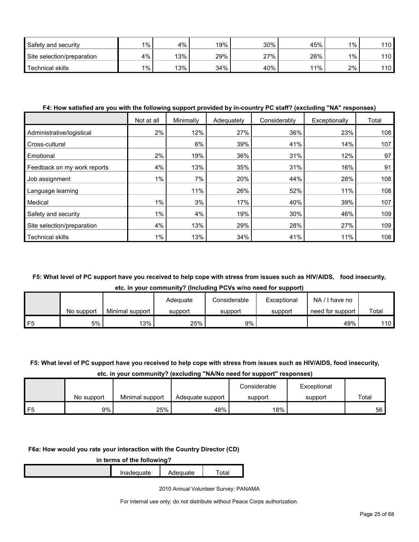| Safety and security        | $1\%$ | 4%  | 19% | 30% | 45% | $1\%$ | 110 |
|----------------------------|-------|-----|-----|-----|-----|-------|-----|
| Site selection/preparation | 4%    | 13% | 29% | 27% | 26% | 1%    | 110 |
| Technical skills           | $1\%$ | 13% | 34% | 40% | 11% | 2%    | 110 |

#### **F4: How satisfied are you with the following support provided by in-country PC staff? (excluding "NA" responses)**

|                             | Not at all | Minimally | Adequately | Considerably | Exceptionally | Total |
|-----------------------------|------------|-----------|------------|--------------|---------------|-------|
| Administrative/logistical   | 2%         | 12%       | 27%        | 36%          | 23%           | 108   |
| Cross-cultural              |            | 6%        | 39%        | 41%          | 14%           | 107   |
| Emotional                   | 2%         | 19%       | 36%        | 31%          | 12%           | 97    |
| Feedback on my work reports | 4%         | 13%       | 35%        | 31%          | 16%           | 91    |
| Job assignment              | $1\%$      | 7%        | 20%        | 44%          | 28%           | 108   |
| Language learning           |            | 11%       | 26%        | 52%          | 11%           | 108   |
| Medical                     | $1\%$      | 3%        | 17%        | 40%          | 39%           | 107   |
| Safety and security         | 1%         | 4%        | 19%        | 30%          | 46%           | 109   |
| Site selection/preparation  | 4%         | 13%       | 29%        | 28%          | 27%           | 109   |
| <b>Technical skills</b>     | 1%         | 13%       | 34%        | 41%          | 11%           | 108   |

#### **F5: What level of PC support have you received to help cope with stress from issues such as HIV/AIDS, food insecurity, etc. in your community? (Including PCVs w/no need for support)**

|                |            |                 | Adequate | Considerable | Exceptional | NA/<br>I have no |                  |
|----------------|------------|-----------------|----------|--------------|-------------|------------------|------------------|
|                | No support | Minimal support | support  | support      | support     | need for support | Total            |
| F <sub>5</sub> | 5%         | 13%             | 25%      | 9%           |             | 49%              | 110 <sub>l</sub> |

#### **F5: What level of PC support have you received to help cope with stress from issues such as HIV/AIDS, food insecurity,**

#### **etc. in your community? (excluding "NA/No need for support" responses)**

|            |                 |                  | Considerable | Exceptional |       |
|------------|-----------------|------------------|--------------|-------------|-------|
| No support | Minimal support | Adequate support | support      | support     | Total |
| 9%         | 25%             | 48%              | 18%          |             | 56    |

#### **F6a: How would you rate your interaction with the Country Director (CD)**

| in terms of the following? |            |          |                   |  |  |  |
|----------------------------|------------|----------|-------------------|--|--|--|
|                            | Inadeguate | Adequate | <sup>-</sup> otal |  |  |  |

2010 Annual Volunteer Survey: PANAMA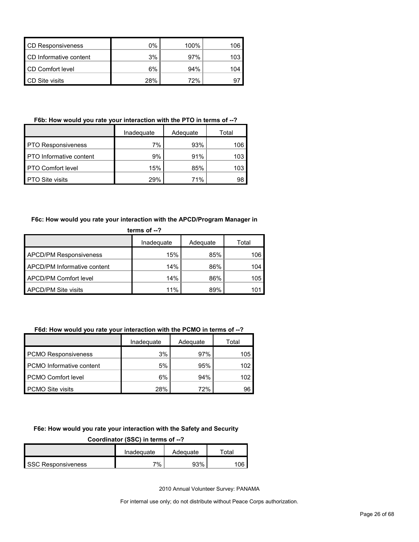| <b>CD Responsiveness</b> | 0%  | 100% | 106 |
|--------------------------|-----|------|-----|
| CD Informative content   | 3%  | 97%  | 103 |
| CD Comfort level         | 6%  | 94%  | 104 |
| <b>CD</b> Site visits    | 28% | 72%  |     |

#### **F6b: How would you rate your interaction with the PTO in terms of --?**

|                                | Inadequate | Adequate | Total |
|--------------------------------|------------|----------|-------|
| <b>PTO Responsiveness</b>      | 7%         | 93%      | 106   |
| <b>PTO</b> Informative content | 9%         | 91%      | 103   |
| <b>PTO Comfort level</b>       | 15%        | 85%      | 103   |
| <b>PTO Site visits</b>         | 29%        | 71%      | 98    |

#### **F6c: How would you rate your interaction with the APCD/Program Manager in**

| terms of $-$ ?                |            |          |       |  |  |
|-------------------------------|------------|----------|-------|--|--|
|                               | Inadequate | Adequate | Total |  |  |
| <b>APCD/PM Responsiveness</b> | 15%        | 85%      | 106   |  |  |
| APCD/PM Informative content   | 14%        | 86%      | 104   |  |  |
| <b>APCD/PM Comfort level</b>  | 14%        | 86%      | 105   |  |  |
| <b>APCD/PM Site visits</b>    | 11%        | 89%      | 1O    |  |  |

#### **F6d: How would you rate your interaction with the PCMO in terms of --?**

|                            | Inadequate | Adequate | Total |
|----------------------------|------------|----------|-------|
| <b>PCMO Responsiveness</b> | 3%         | 97%      | 105   |
| PCMO Informative content   | 5%         | 95%      | 102   |
| <b>PCMO Comfort level</b>  | 6%         | 94%      | 102   |
| <b>PCMO Site visits</b>    | 28%        | 72%      | 96    |

#### **F6e: How would you rate your interaction with the Safety and Security**

#### **Coordinator (SSC) in terms of --?**

|                           | Inadequate | Adequate | Total |
|---------------------------|------------|----------|-------|
| <b>SSC Responsiveness</b> | 7%         | 93%      | 106   |

2010 Annual Volunteer Survey: PANAMA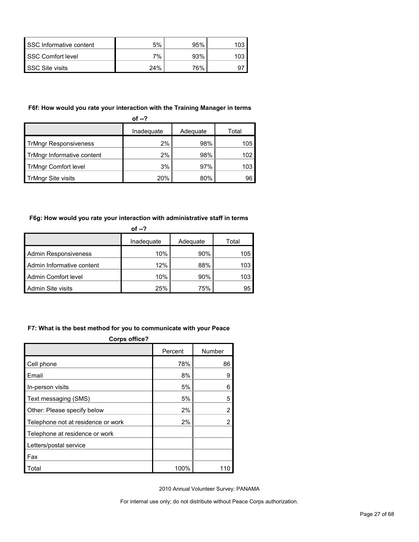| SSC Informative content | 5%  | 95% |  |
|-------------------------|-----|-----|--|
| SSC Comfort level       | 7%  | 93% |  |
| SSC Site visits         | 24% | 76% |  |

#### **F6f: How would you rate your interaction with the Training Manager in terms**

| of $-2$                      |            |          |       |  |  |
|------------------------------|------------|----------|-------|--|--|
|                              | Inadequate | Adequate | Total |  |  |
| <b>TrMngr Responsiveness</b> | 2%         | 98%      | 105   |  |  |
| TrMngr Informative content   | 2%         | 98%      | 102   |  |  |
| <b>TrMngr Comfort level</b>  | 3%         | 97%      | 103   |  |  |
| TrMngr Site visits           | 20%        | 80%      | 96    |  |  |

#### **F6g: How would you rate your interaction with administrative staff in terms**

| of $-2$                     |            |          |       |  |  |
|-----------------------------|------------|----------|-------|--|--|
|                             | Inadequate | Adequate | Total |  |  |
| <b>Admin Responsiveness</b> | 10%        | $90\%$   | 105   |  |  |
| Admin Informative content   | 12%        | 88%      | 103   |  |  |
| Admin Comfort level         | 10%        | 90%      | 103   |  |  |
| Admin Site visits           | 25%        | 75%      | 95    |  |  |

#### **F7: What is the best method for you to communicate with your Peace**

| <b>Corps office?</b>               |         |        |  |  |  |
|------------------------------------|---------|--------|--|--|--|
|                                    | Percent | Number |  |  |  |
| Cell phone                         | 78%     | 86     |  |  |  |
| Email                              | 8%      | 9      |  |  |  |
| In-person visits                   | 5%      | 6      |  |  |  |
| Text messaging (SMS)               | 5%      | 5      |  |  |  |
| Other: Please specify below        | 2%      | 2      |  |  |  |
| Telephone not at residence or work | 2%      | 2      |  |  |  |
| Telephone at residence or work     |         |        |  |  |  |
| Letters/postal service             |         |        |  |  |  |
| Fax                                |         |        |  |  |  |
| Total                              | 100%    | 110    |  |  |  |

2010 Annual Volunteer Survey: PANAMA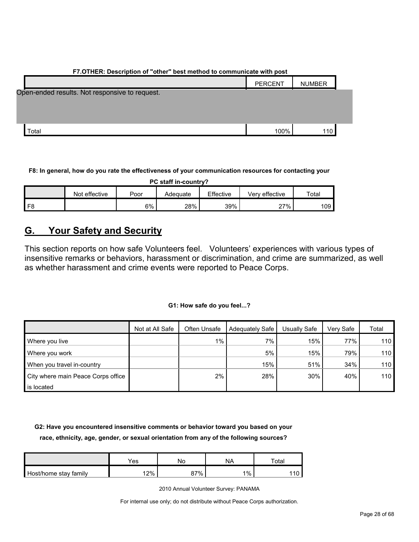| F7.OTHER: Description of "other" best method to communicate with post |               |  |  |  |  |
|-----------------------------------------------------------------------|---------------|--|--|--|--|
| <b>PERCENT</b>                                                        | <b>NUMBER</b> |  |  |  |  |
|                                                                       |               |  |  |  |  |
|                                                                       |               |  |  |  |  |
|                                                                       |               |  |  |  |  |
|                                                                       |               |  |  |  |  |
| 100%                                                                  | 110           |  |  |  |  |
|                                                                       |               |  |  |  |  |

#### **F8: In general, how do you rate the effectiveness of your communication resources for contacting your**

| PC staff in-country? |               |       |          |           |                |             |  |
|----------------------|---------------|-------|----------|-----------|----------------|-------------|--|
|                      | Not effective | Poor  | Adequate | Effective | Verv effective | $\tau$ otal |  |
|                      |               | $6\%$ | 28%      | 39%       | 27%            | 109         |  |

### <span id="page-27-0"></span>**G. Your Safety and Security**

This section reports on how safe Volunteers feel. Volunteers' experiences with various types of insensitive remarks or behaviors, harassment or discrimination, and crime are summarized, as well as whether harassment and crime events were reported to Peace Corps.

#### **G1: How safe do you feel...?**

|                                    | Not at All Safe | Often Unsafe | <b>Adequately Safe</b> | Usually Safe | Very Safe | Total |
|------------------------------------|-----------------|--------------|------------------------|--------------|-----------|-------|
| Where you live                     |                 | $1\%$        | 7%                     | 15%          | 77%       | 110   |
| Where you work                     |                 |              | 5%                     | 15%          | 79%       | 110   |
| When you travel in-country         |                 |              | 15%                    | 51%          | 34%       | 110   |
| City where main Peace Corps office |                 | $2\%$        | 28%                    | 30%          | 40%       | 110   |
| is located                         |                 |              |                        |              |           |       |

**G2: Have you encountered insensitive comments or behavior toward you based on your race, ethnicity, age, gender, or sexual orientation from any of the following sources?**

|                       | Yes | Nο  | NA    | $\tau$ otal |
|-----------------------|-----|-----|-------|-------------|
| Host/home stay family | 12% | 87% | $1\%$ |             |

2010 Annual Volunteer Survey: PANAMA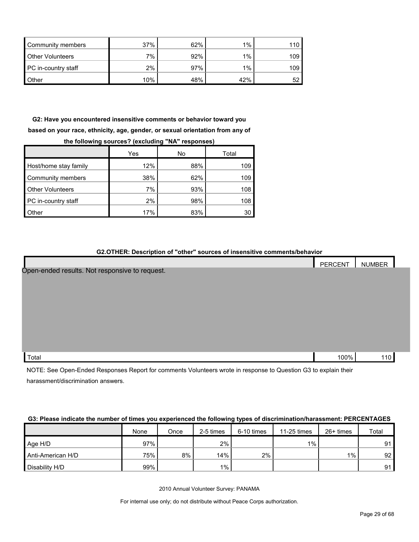| Community members       | 37% | 62% | $1\%$ |     |
|-------------------------|-----|-----|-------|-----|
| <b>Other Volunteers</b> | 7%  | 92% | $1\%$ | 109 |
| PC in-country staff     | 2%  | 97% | 1%    | 109 |
| <b>Other</b>            | 10% | 48% | 42%   |     |

**G2: Have you encountered insensitive comments or behavior toward you based on your race, ethnicity, age, gender, or sexual orientation from any of the following sources? (excluding "NA" responses)**

|                         | Yes | No  | Total |
|-------------------------|-----|-----|-------|
| Host/home stay family   | 12% | 88% | 109   |
| Community members       | 38% | 62% | 109   |
| <b>Other Volunteers</b> | 7%  | 93% | 108   |
| PC in-country staff     | 2%  | 98% | 108   |
| <b>Other</b>            | 17% | 83% | 30    |

#### **G2.OTHER: Description of "other" sources of insensitive comments/behavior**

|                                                | PERCENT | <b>NUMBER</b> |  |
|------------------------------------------------|---------|---------------|--|
| Open-ended results. Not responsive to request. |         |               |  |
|                                                |         |               |  |
|                                                |         |               |  |
|                                                |         |               |  |
|                                                |         |               |  |
|                                                |         |               |  |
|                                                |         |               |  |
|                                                |         |               |  |
| Total                                          | 100%    | 110           |  |

NOTE: See Open-Ended Responses Report for comments Volunteers wrote in response to Question G3 to explain their harassment/discrimination answers.

#### **G3: Please indicate the number of times you experienced the following types of discrimination/harassment: PERCENTAGES**

|                   | None | Once | 2-5 times | 6-10 times | $11-25$ times | $26+$ times | Total           |
|-------------------|------|------|-----------|------------|---------------|-------------|-----------------|
| Age H/D           | 97%  |      | 2%        |            | $1\%$         |             | 91              |
| Anti-American H/D | 75%  | 8%   | 14%       | 2%         |               | $1\%$       | 92 <sub>1</sub> |
| Disability H/D    | 99%  |      | $1\%$     |            |               |             | 91 <sub>1</sub> |

2010 Annual Volunteer Survey: PANAMA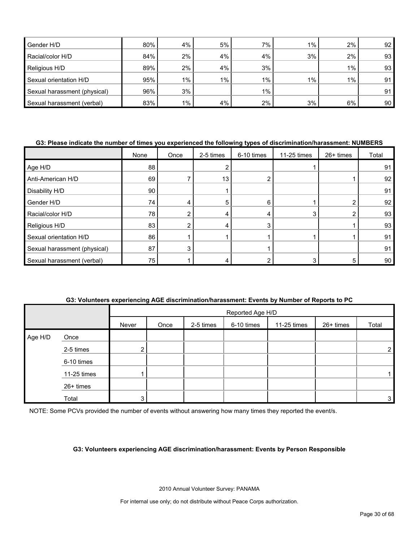| Gender H/D                   | 80% | 4%    | 5%    | 7%    | $1\%$ | 2%    | 92 <sub>1</sub> |
|------------------------------|-----|-------|-------|-------|-------|-------|-----------------|
| Racial/color H/D             | 84% | $2\%$ | 4%    | 4%    | 3%    | 2%    | 93              |
| Religious H/D                | 89% | $2\%$ | 4%    | 3%    |       | $1\%$ | 93              |
| Sexual orientation H/D       | 95% | $1\%$ | $1\%$ | 1%    | $1\%$ | $1\%$ | 91              |
| Sexual harassment (physical) | 96% | 3%    |       | $1\%$ |       |       | 91              |
| Sexual harassment (verbal)   | 83% | $1\%$ | 4%    | 2%    | 3%    | 6%    | 90 <sub>1</sub> |

#### **G3: Please indicate the number of times you experienced the following types of discrimination/harassment: NUMBERS**

|                              | None | Once | 2-5 times | 6-10 times | 11-25 times | 26+ times | Total |
|------------------------------|------|------|-----------|------------|-------------|-----------|-------|
| Age H/D                      | 88   |      |           |            |             |           | 91    |
| Anti-American H/D            | 69   |      | 13        |            |             |           | 92    |
| Disability H/D               | 90   |      |           |            |             |           | 91    |
| Gender H/D                   | 74   |      | 5         | 6          |             |           | 92    |
| Racial/color H/D             | 78   |      |           |            | 3           | ◠         | 93    |
| Religious H/D                | 83   |      |           | 3          |             |           | 93    |
| Sexual orientation H/D       | 86   |      |           |            |             |           | 91    |
| Sexual harassment (physical) | 87   | 3    |           |            |             |           | 91    |
| Sexual harassment (verbal)   | 75   |      |           |            |             | 5         | 90    |

|         |             |       |                  |           |            | G3: Volunteers experiencing AGE discrimination/harassment: Events by Number of Reports to PC |             |              |  |  |  |  |
|---------|-------------|-------|------------------|-----------|------------|----------------------------------------------------------------------------------------------|-------------|--------------|--|--|--|--|
|         |             |       | Reported Age H/D |           |            |                                                                                              |             |              |  |  |  |  |
|         |             | Never | Once             | 2-5 times | 6-10 times | 11-25 times                                                                                  | $26+$ times | Total        |  |  |  |  |
| Age H/D | Once        |       |                  |           |            |                                                                                              |             |              |  |  |  |  |
|         | 2-5 times   |       |                  |           |            |                                                                                              |             | $\mathbf{2}$ |  |  |  |  |
|         | 6-10 times  |       |                  |           |            |                                                                                              |             |              |  |  |  |  |
|         | 11-25 times |       |                  |           |            |                                                                                              |             |              |  |  |  |  |
|         | $26+$ times |       |                  |           |            |                                                                                              |             |              |  |  |  |  |
|         | Total       | 3     |                  |           |            |                                                                                              |             | 3            |  |  |  |  |

NOTE: Some PCVs provided the number of events without answering how many times they reported the event/s.

#### **G3: Volunteers experiencing AGE discrimination/harassment: Events by Person Responsible**

2010 Annual Volunteer Survey: PANAMA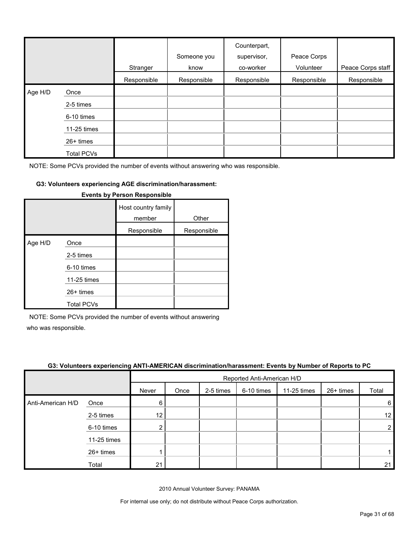|         |                   | Stranger    | Someone you<br>know | Counterpart,<br>supervisor,<br>co-worker | Peace Corps<br>Volunteer | Peace Corps staff |
|---------|-------------------|-------------|---------------------|------------------------------------------|--------------------------|-------------------|
|         |                   | Responsible | Responsible         | Responsible                              | Responsible              | Responsible       |
| Age H/D | Once              |             |                     |                                          |                          |                   |
|         | 2-5 times         |             |                     |                                          |                          |                   |
|         | 6-10 times        |             |                     |                                          |                          |                   |
|         | 11-25 times       |             |                     |                                          |                          |                   |
|         | $26+$ times       |             |                     |                                          |                          |                   |
|         | <b>Total PCVs</b> |             |                     |                                          |                          |                   |

#### **G3: Volunteers experiencing AGE discrimination/harassment:**

|         |                   | Host country family<br>member | Other       |
|---------|-------------------|-------------------------------|-------------|
|         |                   | Responsible                   | Responsible |
| Age H/D | Once              |                               |             |
|         | 2-5 times         |                               |             |
|         | 6-10 times        |                               |             |
|         | 11-25 times       |                               |             |
|         | 26+ times         |                               |             |
|         | <b>Total PCVs</b> |                               |             |

#### **Events by Person Responsible**

NOTE: Some PCVs provided the number of events without answering

who was responsible.

|                   | G3: Volunteers experiencing ANTI-AMERICAN discrimination/harassment: Events by Number of Reports to PC |       |                            |           |            |             |             |       |  |
|-------------------|--------------------------------------------------------------------------------------------------------|-------|----------------------------|-----------|------------|-------------|-------------|-------|--|
|                   |                                                                                                        |       | Reported Anti-American H/D |           |            |             |             |       |  |
|                   |                                                                                                        | Never | Once                       | 2-5 times | 6-10 times | 11-25 times | $26+$ times | Total |  |
| Anti-American H/D | Once                                                                                                   | 6     |                            |           |            |             |             | 6     |  |
|                   | 2-5 times                                                                                              | 12    |                            |           |            |             |             | 12    |  |
|                   | 6-10 times                                                                                             |       |                            |           |            |             |             |       |  |
|                   | 11-25 times                                                                                            |       |                            |           |            |             |             |       |  |
|                   | $26+$ times                                                                                            |       |                            |           |            |             |             |       |  |
|                   | Total                                                                                                  | 21    |                            |           |            |             |             | 21    |  |

2010 Annual Volunteer Survey: PANAMA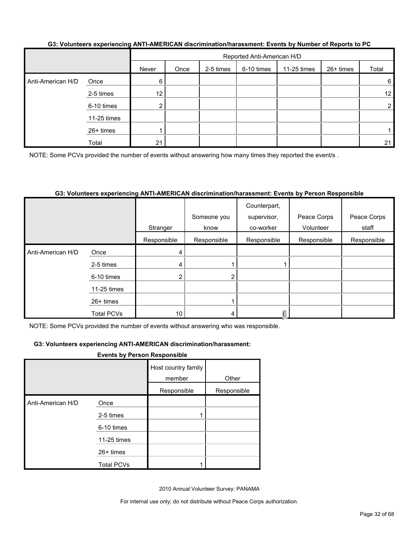|                   |           |       | Reported Anti-American H/D |           |            |             |             |       |  |  |
|-------------------|-----------|-------|----------------------------|-----------|------------|-------------|-------------|-------|--|--|
|                   |           | Never | Once                       | 2-5 times | 6-10 times | 11-25 times | $26+$ times | Total |  |  |
| Anti-American H/D | Once      |       |                            |           |            |             |             |       |  |  |
|                   | 2-5 times | 12    |                            |           |            |             |             | 12    |  |  |

6-10 times 2 2

26+ times | 1 | | | | | | | | | | 1 Total 21 21

#### **G3: Volunteers experiencing ANTI-AMERICAN discrimination/harassment: Events by Number of Reports to PC**

NOTE: Some PCVs provided the number of events without answering how many times they reported the event/s .

#### **G3: Volunteers experiencing ANTI-AMERICAN discrimination/harassment: Events by Person Responsible**

|                                                                                            |                   | Stranger        | Someone you<br>know | Counterpart,<br>supervisor,<br>co-worker | Peace Corps<br>Volunteer | Peace Corps<br>staff |
|--------------------------------------------------------------------------------------------|-------------------|-----------------|---------------------|------------------------------------------|--------------------------|----------------------|
|                                                                                            |                   | Responsible     | Responsible         | Responsible                              | Responsible              | Responsible          |
| Anti-American H/D                                                                          | Once              | 4               |                     |                                          |                          |                      |
|                                                                                            | 2-5 times         | 4               |                     |                                          |                          |                      |
|                                                                                            | 6-10 times        |                 | 2                   |                                          |                          |                      |
|                                                                                            | 11-25 times       |                 |                     |                                          |                          |                      |
|                                                                                            | $26+$ times       |                 |                     |                                          |                          |                      |
|                                                                                            | <b>Total PCVs</b> | 10 <sub>1</sub> | 4                   |                                          |                          |                      |
| NOTE: Canas, DOVs nesculad the purpose of curate without approximation who was represented |                   |                 |                     |                                          |                          |                      |

NOTE: Some PCVs provided the number of events without answering who was responsible.

#### **G3: Volunteers experiencing ANTI-AMERICAN discrimination/harassment:**

11-25 times

#### **Events by Person Responsible**

|                   |                   | Host country family<br>member | Other       |
|-------------------|-------------------|-------------------------------|-------------|
|                   |                   | Responsible                   | Responsible |
| Anti-American H/D | Once              |                               |             |
|                   | 2-5 times         |                               |             |
|                   | 6-10 times        |                               |             |
|                   | 11-25 times       |                               |             |
|                   | $26+$ times       |                               |             |
|                   | <b>Total PCVs</b> |                               |             |

2010 Annual Volunteer Survey: PANAMA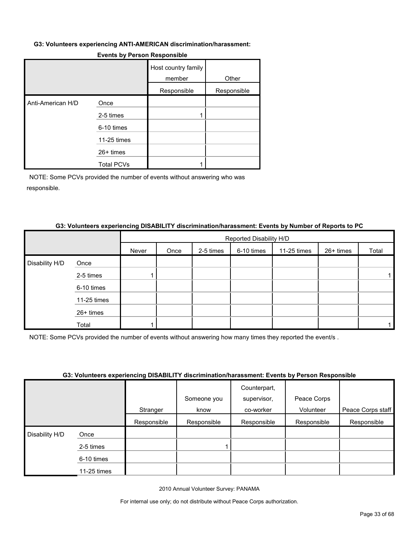#### **G3: Volunteers experiencing ANTI-AMERICAN discrimination/harassment:**

|                   |                   | Host country family<br>member | Other       |
|-------------------|-------------------|-------------------------------|-------------|
|                   |                   | Responsible                   | Responsible |
| Anti-American H/D | Once              |                               |             |
|                   | 2-5 times         |                               |             |
|                   | 6-10 times        |                               |             |
|                   | 11-25 times       |                               |             |
|                   | $26+$ times       |                               |             |
|                   | <b>Total PCVs</b> |                               |             |

#### **Events by Person Responsible**

NOTE: Some PCVs provided the number of events without answering who was responsible.

#### **G3: Volunteers experiencing DISABILITY discrimination/harassment: Events by Number of Reports to PC**

|                |             |       |      |           | Reported Disability H/D |             |           |       |
|----------------|-------------|-------|------|-----------|-------------------------|-------------|-----------|-------|
|                |             | Never | Once | 2-5 times | 6-10 times              | 11-25 times | 26+ times | Total |
| Disability H/D | Once        |       |      |           |                         |             |           |       |
|                | 2-5 times   |       |      |           |                         |             |           |       |
|                | 6-10 times  |       |      |           |                         |             |           |       |
|                | 11-25 times |       |      |           |                         |             |           |       |
|                | 26+ times   |       |      |           |                         |             |           |       |
|                | Total       |       |      |           |                         |             |           |       |

NOTE: Some PCVs provided the number of events without answering how many times they reported the event/s .

#### **G3: Volunteers experiencing DISABILITY discrimination/harassment: Events by Person Responsible**

|                     |             |             |             | Counterpart, |             |                   |
|---------------------|-------------|-------------|-------------|--------------|-------------|-------------------|
|                     |             |             | Someone you | supervisor,  | Peace Corps |                   |
|                     |             | Stranger    | know        | co-worker    | Volunteer   | Peace Corps staff |
|                     |             | Responsible | Responsible | Responsible  | Responsible | Responsible       |
| Disability H/D<br>Ι | Once        |             |             |              |             |                   |
|                     | 2-5 times   |             |             |              |             |                   |
|                     | 6-10 times  |             |             |              |             |                   |
|                     | 11-25 times |             |             |              |             |                   |

2010 Annual Volunteer Survey: PANAMA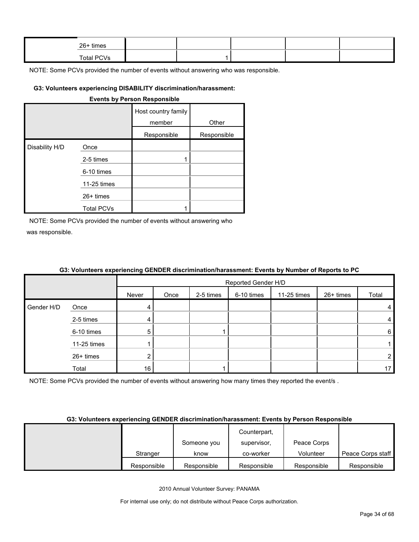| $26+$ times |  |  |  |
|-------------|--|--|--|
| Total PCVs  |  |  |  |

#### **G3: Volunteers experiencing DISABILITY discrimination/harassment:**

|                |                   | <b>Events by Person Responsible</b> |             |
|----------------|-------------------|-------------------------------------|-------------|
|                |                   | Host country family<br>member       | Other       |
|                |                   | Responsible                         | Responsible |
| Disability H/D | Once              |                                     |             |
|                | 2-5 times         |                                     |             |
|                | 6-10 times        |                                     |             |
|                | 11-25 times       |                                     |             |
|                | $26+$ times       |                                     |             |
|                | <b>Total PCVs</b> |                                     |             |

NOTE: Some PCVs provided the number of events without answering who was responsible.

|            |             |       | Reported Gender H/D |           |            |             |           |                |  |
|------------|-------------|-------|---------------------|-----------|------------|-------------|-----------|----------------|--|
|            |             | Never | Once                | 2-5 times | 6-10 times | 11-25 times | 26+ times | Total          |  |
| Gender H/D | Once        | 4     |                     |           |            |             |           | $\overline{4}$ |  |
|            | 2-5 times   | 4     |                     |           |            |             |           | $\overline{4}$ |  |
|            | 6-10 times  | 5     |                     |           |            |             |           | 6              |  |
|            | 11-25 times |       |                     |           |            |             |           | 1              |  |
|            | 26+ times   |       |                     |           |            |             |           | $\overline{2}$ |  |
|            | Total       | 16    |                     |           |            |             |           | 17             |  |

#### **G3: Volunteers experiencing GENDER discrimination/harassment: Events by Number of Reports to PC**

NOTE: Some PCVs provided the number of events without answering how many times they reported the event/s.

#### **G3: Volunteers experiencing GENDER discrimination/harassment: Events by Person Responsible**

|             |             | Counterpart, |             |                   |
|-------------|-------------|--------------|-------------|-------------------|
|             | Someone you | supervisor,  | Peace Corps |                   |
| Stranger    | know        | co-worker    | Volunteer   | Peace Corps staff |
| Responsible | Responsible | Responsible  | Responsible | Responsible       |

2010 Annual Volunteer Survey: PANAMA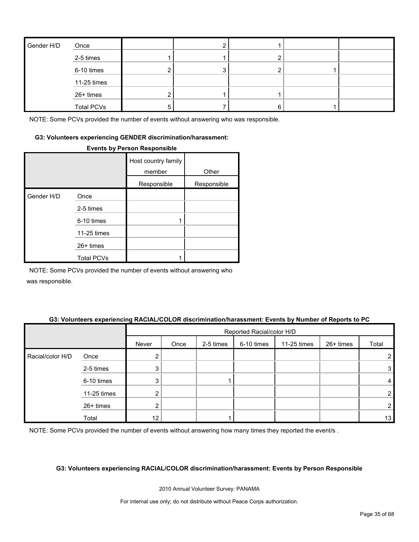| Gender H/D | Once              |  |   |  |
|------------|-------------------|--|---|--|
|            | 2-5 times         |  |   |  |
|            | 6-10 times        |  |   |  |
|            | 11-25 times       |  |   |  |
|            | 26+ times         |  |   |  |
|            | <b>Total PCVs</b> |  | 6 |  |

#### **G3: Volunteers experiencing GENDER discrimination/harassment:**

#### **Events by Person Responsible**

|            |                   | Host country family<br>member | Other       |
|------------|-------------------|-------------------------------|-------------|
|            |                   |                               |             |
|            |                   | Responsible                   | Responsible |
| Gender H/D | Once              |                               |             |
|            | 2-5 times         |                               |             |
|            | 6-10 times        |                               |             |
|            | 11-25 times       |                               |             |
|            | 26+ times         |                               |             |
|            | <b>Total PCVs</b> |                               |             |

NOTE: Some PCVs provided the number of events without answering who was responsible.

#### **G3: Volunteers experiencing RACIAL/COLOR discrimination/harassment: Events by Number of Reports to PC**

|                  |             |        | Reported Racial/color H/D |           |            |             |           |       |
|------------------|-------------|--------|---------------------------|-----------|------------|-------------|-----------|-------|
|                  |             | Never  | Once                      | 2-5 times | 6-10 times | 11-25 times | 26+ times | Total |
| Racial/color H/D | Once        |        |                           |           |            |             |           |       |
|                  | 2-5 times   | 3      |                           |           |            |             |           | 3     |
|                  | 6-10 times  | ີ<br>J |                           |           |            |             |           | 4     |
|                  | 11-25 times |        |                           |           |            |             |           | 2     |
|                  | 26+ times   |        |                           |           |            |             |           | 2     |
|                  | Total       | 12     |                           |           |            |             |           | 13    |

NOTE: Some PCVs provided the number of events without answering how many times they reported the event/s.

#### **G3: Volunteers experiencing RACIAL/COLOR discrimination/harassment: Events by Person Responsible**

2010 Annual Volunteer Survey: PANAMA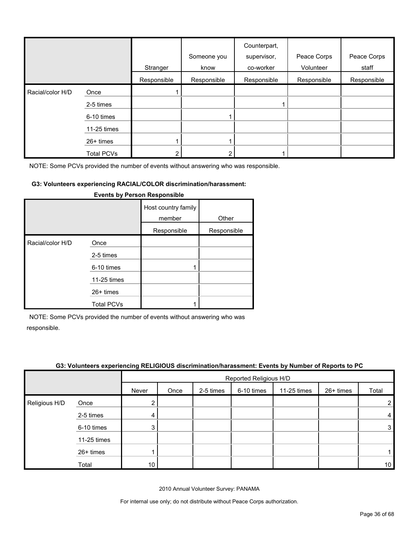|                  |                   | Stranger    | Someone you<br>know | Counterpart,<br>supervisor,<br>co-worker | Peace Corps<br>Volunteer | Peace Corps<br>staff |
|------------------|-------------------|-------------|---------------------|------------------------------------------|--------------------------|----------------------|
|                  |                   | Responsible | Responsible         | Responsible                              | Responsible              | Responsible          |
| Racial/color H/D | Once              |             |                     |                                          |                          |                      |
|                  | 2-5 times         |             |                     |                                          |                          |                      |
|                  | 6-10 times        |             |                     |                                          |                          |                      |
|                  | 11-25 times       |             |                     |                                          |                          |                      |
|                  | 26+ times         |             |                     |                                          |                          |                      |
|                  | <b>Total PCVs</b> |             |                     |                                          |                          |                      |

#### **G3: Volunteers experiencing RACIAL/COLOR discrimination/harassment:**

|                  |                   | Host country family<br>member | Other       |
|------------------|-------------------|-------------------------------|-------------|
|                  |                   | Responsible                   | Responsible |
| Racial/color H/D | Once              |                               |             |
|                  | 2-5 times         |                               |             |
|                  | 6-10 times        |                               |             |
|                  | 11-25 times       |                               |             |
|                  | $26+$ times       |                               |             |
|                  | <b>Total PCVs</b> |                               |             |

#### **Events by Person Responsible**

NOTE: Some PCVs provided the number of events without answering who was responsible.

| G3: Volunteers experiencing RELIGIOUS discrimination/harassment: Events by Number of Reports to PC |
|----------------------------------------------------------------------------------------------------|
|                                                                                                    |

|               |             |       | Reported Religious H/D |           |            |             |           |                 |
|---------------|-------------|-------|------------------------|-----------|------------|-------------|-----------|-----------------|
|               |             | Never | Once                   | 2-5 times | 6-10 times | 11-25 times | 26+ times | Total           |
| Religious H/D | Once        | ◠     |                        |           |            |             |           | $\overline{2}$  |
|               | 2-5 times   | 4     |                        |           |            |             |           | 4               |
|               | 6-10 times  | 3     |                        |           |            |             |           | 3               |
|               | 11-25 times |       |                        |           |            |             |           |                 |
|               | 26+ times   |       |                        |           |            |             |           |                 |
|               | Total       | 10    |                        |           |            |             |           | 10 <sub>1</sub> |

2010 Annual Volunteer Survey: PANAMA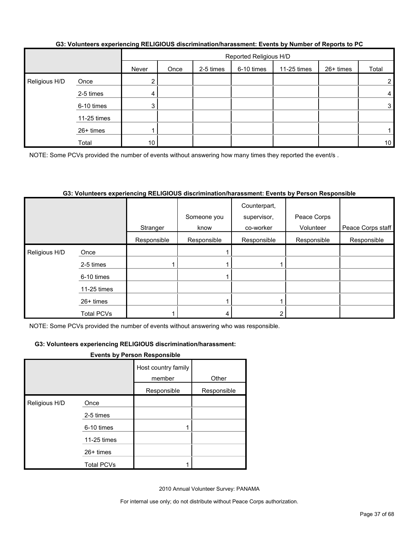|               |             | Reported Religious H/D |      |           |            |             |           |                 |
|---------------|-------------|------------------------|------|-----------|------------|-------------|-----------|-----------------|
|               |             | Never                  | Once | 2-5 times | 6-10 times | 11-25 times | 26+ times | Total           |
| Religious H/D | Once        | ◠<br>∠∣                |      |           |            |             |           | $\overline{2}$  |
|               | 2-5 times   | 4 I                    |      |           |            |             |           | 4               |
|               | 6-10 times  | 3 <sup>1</sup>         |      |           |            |             |           | 3               |
|               | 11-25 times |                        |      |           |            |             |           |                 |
|               | 26+ times   |                        |      |           |            |             |           |                 |
|               | Total       | 10 <sub>1</sub>        |      |           |            |             |           | 10 <sup>1</sup> |

#### **G3: Volunteers experiencing RELIGIOUS discrimination/harassment: Events by Number of Reports to PC**

NOTE: Some PCVs provided the number of events without answering how many times they reported the event/s.

#### **G3: Volunteers experiencing RELIGIOUS discrimination/harassment: Events by Person Responsible**

|               |             |             | Someone you | Counterpart,<br>supervisor, | Peace Corps |                   |
|---------------|-------------|-------------|-------------|-----------------------------|-------------|-------------------|
|               |             | Stranger    | know        | co-worker                   | Volunteer   | Peace Corps staff |
|               |             | Responsible | Responsible | Responsible                 | Responsible | Responsible       |
| Religious H/D | Once        |             |             |                             |             |                   |
|               | 2-5 times   |             |             |                             |             |                   |
|               | 6-10 times  |             |             |                             |             |                   |
|               | 11-25 times |             |             |                             |             |                   |
|               | 26+ times   |             |             |                             |             |                   |
|               | Total PCVs  |             |             |                             |             |                   |

NOTE: Some PCVs provided the number of events without answering who was responsible.

#### **G3: Volunteers experiencing RELIGIOUS discrimination/harassment:**

#### **Events by Person Responsible**

|               |                   | Host country family<br>member | Other       |
|---------------|-------------------|-------------------------------|-------------|
|               |                   | Responsible                   | Responsible |
| Religious H/D | Once              |                               |             |
|               | 2-5 times         |                               |             |
|               | 6-10 times        |                               |             |
|               | 11-25 times       |                               |             |
|               | $26+$ times       |                               |             |
|               | <b>Total PCVs</b> |                               |             |

2010 Annual Volunteer Survey: PANAMA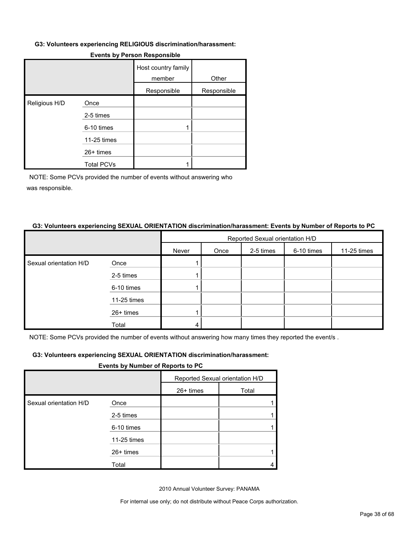#### **G3: Volunteers experiencing RELIGIOUS discrimination/harassment:**

|               |                   | Host country family<br>member | Other       |
|---------------|-------------------|-------------------------------|-------------|
|               |                   | Responsible                   | Responsible |
| Religious H/D | Once              |                               |             |
|               | 2-5 times         |                               |             |
|               | 6-10 times        |                               |             |
|               | 11-25 times       |                               |             |
|               | 26+ times         |                               |             |
|               | <b>Total PCVs</b> |                               |             |

#### **Events by Person Responsible**

NOTE: Some PCVs provided the number of events without answering who was responsible.

#### **G3: Volunteers experiencing SEXUAL ORIENTATION discrimination/harassment: Events by Number of Reports to PC**

|                        |             | Reported Sexual orientation H/D |      |           |            |             |  |  |
|------------------------|-------------|---------------------------------|------|-----------|------------|-------------|--|--|
|                        |             | Never                           | Once | 2-5 times | 6-10 times | 11-25 times |  |  |
| Sexual orientation H/D | Once        |                                 |      |           |            |             |  |  |
|                        | 2-5 times   |                                 |      |           |            |             |  |  |
|                        | 6-10 times  |                                 |      |           |            |             |  |  |
|                        | 11-25 times |                                 |      |           |            |             |  |  |
|                        | 26+ times   |                                 |      |           |            |             |  |  |
|                        | Total       |                                 |      |           |            |             |  |  |

NOTE: Some PCVs provided the number of events without answering how many times they reported the event/s .

#### **G3: Volunteers experiencing SEXUAL ORIENTATION discrimination/harassment:**

#### **Events by Number of Reports to PC**

|                        |             | Reported Sexual orientation H/D |       |  |
|------------------------|-------------|---------------------------------|-------|--|
|                        |             | 26+ times                       | Total |  |
| Sexual orientation H/D | Once        |                                 |       |  |
|                        | 2-5 times   |                                 |       |  |
|                        | 6-10 times  |                                 |       |  |
|                        | 11-25 times |                                 |       |  |
|                        | 26+ times   |                                 |       |  |
|                        | Total       |                                 |       |  |

2010 Annual Volunteer Survey: PANAMA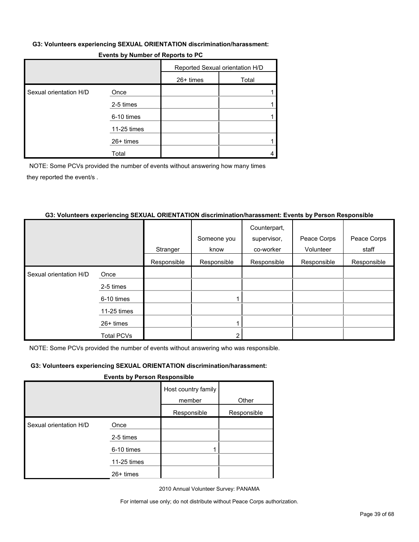#### **G3: Volunteers experiencing SEXUAL ORIENTATION discrimination/harassment:**

| Events by Number of Reports to PC |  |
|-----------------------------------|--|
|-----------------------------------|--|

|                        |             | Reported Sexual orientation H/D |       |  |
|------------------------|-------------|---------------------------------|-------|--|
|                        |             | $26+$ times                     | Total |  |
| Sexual orientation H/D | Once        |                                 |       |  |
|                        | 2-5 times   |                                 |       |  |
|                        | 6-10 times  |                                 |       |  |
|                        | 11-25 times |                                 |       |  |
|                        | $26+$ times |                                 |       |  |
|                        | Total       |                                 |       |  |

NOTE: Some PCVs provided the number of events without answering how many times they reported the event/s .

#### **G3: Volunteers experiencing SEXUAL ORIENTATION discrimination/harassment: Events by Person Responsible**

|                        |                   |             |             | Counterpart, |             |             |
|------------------------|-------------------|-------------|-------------|--------------|-------------|-------------|
|                        |                   |             | Someone you | supervisor,  | Peace Corps | Peace Corps |
|                        |                   | Stranger    | know        | co-worker    | Volunteer   | staff       |
|                        |                   | Responsible | Responsible | Responsible  | Responsible | Responsible |
| Sexual orientation H/D | Once              |             |             |              |             |             |
|                        | 2-5 times         |             |             |              |             |             |
|                        | 6-10 times        |             |             |              |             |             |
|                        | 11-25 times       |             |             |              |             |             |
|                        | $26+$ times       |             |             |              |             |             |
|                        | <b>Total PCVs</b> |             |             |              |             |             |

NOTE: Some PCVs provided the number of events without answering who was responsible.

#### **G3: Volunteers experiencing SEXUAL ORIENTATION discrimination/harassment:**

#### **Events by Person Responsible**

|                        |             | Host country family<br>member | Other       |
|------------------------|-------------|-------------------------------|-------------|
|                        |             | Responsible                   | Responsible |
| Sexual orientation H/D | Once        |                               |             |
|                        | 2-5 times   |                               |             |
|                        | 6-10 times  |                               |             |
|                        | 11-25 times |                               |             |
|                        | 26+ times   |                               |             |

2010 Annual Volunteer Survey: PANAMA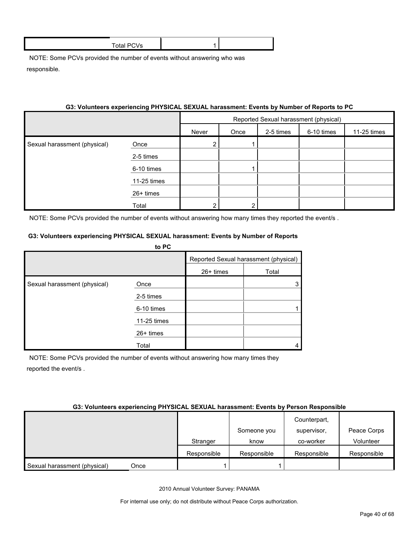| Total PCV<br>vs |  |
|-----------------|--|
|                 |  |

#### **G3: Volunteers experiencing PHYSICAL SEXUAL harassment: Events by Number of Reports to PC**

|                              |             | Reported Sexual harassment (physical) |      |           |            |             |
|------------------------------|-------------|---------------------------------------|------|-----------|------------|-------------|
|                              |             | Never                                 | Once | 2-5 times | 6-10 times | 11-25 times |
| Sexual harassment (physical) | Once        | າ                                     |      |           |            |             |
|                              | 2-5 times   |                                       |      |           |            |             |
|                              | 6-10 times  |                                       |      |           |            |             |
|                              | 11-25 times |                                       |      |           |            |             |
|                              | 26+ times   |                                       |      |           |            |             |
|                              | Total       | ົ                                     | ◠    |           |            |             |

NOTE: Some PCVs provided the number of events without answering how many times they reported the event/s.

#### **G3: Volunteers experiencing PHYSICAL SEXUAL harassment: Events by Number of Reports**

|                              | to PC       |                                       |       |
|------------------------------|-------------|---------------------------------------|-------|
|                              |             | Reported Sexual harassment (physical) |       |
|                              |             | 26+ times                             | Total |
| Sexual harassment (physical) | Once        |                                       |       |
|                              | 2-5 times   |                                       |       |
|                              | 6-10 times  |                                       |       |
|                              | 11-25 times |                                       |       |
|                              | 26+ times   |                                       |       |
|                              | Total       |                                       |       |

NOTE: Some PCVs provided the number of events without answering how many times they reported the event/s .

#### **G3: Volunteers experiencing PHYSICAL SEXUAL harassment: Events by Person Responsible**

|                              |      |             |             | Counterpart, |             |
|------------------------------|------|-------------|-------------|--------------|-------------|
|                              |      |             | Someone you | supervisor.  | Peace Corps |
|                              |      | Stranger    | know        | co-worker    | Volunteer   |
|                              |      | Responsible | Responsible | Responsible  | Responsible |
| Sexual harassment (physical) | Once |             |             |              |             |

2010 Annual Volunteer Survey: PANAMA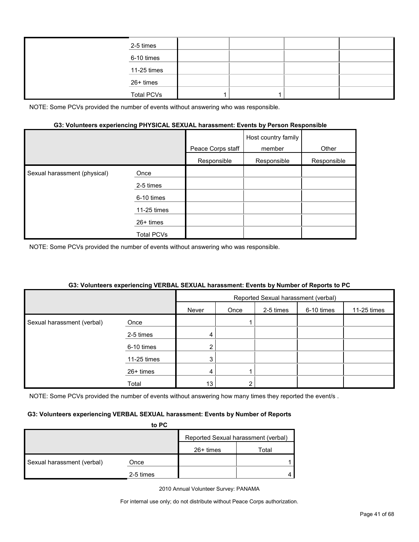| 2-5 times         |  |  |
|-------------------|--|--|
| 6-10 times        |  |  |
| 11-25 times       |  |  |
| 26+ times         |  |  |
| <b>Total PCVs</b> |  |  |

#### **G3: Volunteers experiencing PHYSICAL SEXUAL harassment: Events by Person Responsible**

|                              |             | Peace Corps staff | Host country family<br>member | Other       |
|------------------------------|-------------|-------------------|-------------------------------|-------------|
|                              |             | Responsible       | Responsible                   | Responsible |
| Sexual harassment (physical) | Once        |                   |                               |             |
|                              | 2-5 times   |                   |                               |             |
|                              | 6-10 times  |                   |                               |             |
|                              | 11-25 times |                   |                               |             |
|                              | $26+$ times |                   |                               |             |
|                              | Total PCVs  |                   |                               |             |

NOTE: Some PCVs provided the number of events without answering who was responsible.

#### **G3: Volunteers experiencing VERBAL SEXUAL harassment: Events by Number of Reports to PC**

|                            |             |       |      |           | Reported Sexual harassment (verbal) |             |
|----------------------------|-------------|-------|------|-----------|-------------------------------------|-------------|
|                            |             | Never | Once | 2-5 times | 6-10 times                          | 11-25 times |
| Sexual harassment (verbal) | Once        |       |      |           |                                     |             |
|                            | 2-5 times   | 4     |      |           |                                     |             |
|                            | 6-10 times  | ົ     |      |           |                                     |             |
|                            | 11-25 times | 3     |      |           |                                     |             |
|                            | 26+ times   | 4     |      |           |                                     |             |
|                            | Total       | 13    |      |           |                                     |             |

NOTE: Some PCVs provided the number of events without answering how many times they reported the event/s.

#### **G3: Volunteers experiencing VERBAL SEXUAL harassment: Events by Number of Reports**

| to PC                      |           |                                     |       |  |  |
|----------------------------|-----------|-------------------------------------|-------|--|--|
|                            |           | Reported Sexual harassment (verbal) |       |  |  |
|                            |           | $26+$ times                         | Total |  |  |
| Sexual harassment (verbal) | Once      |                                     |       |  |  |
|                            | 2-5 times |                                     |       |  |  |

2010 Annual Volunteer Survey: PANAMA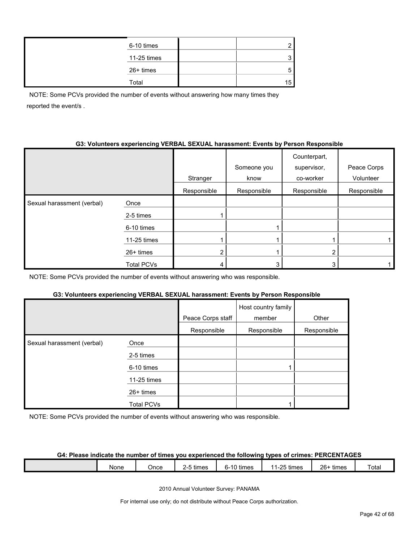| 6-10 times  |    |
|-------------|----|
| 11-25 times |    |
| 26+ times   |    |
| Total       | 15 |

NOTE: Some PCVs provided the number of events without answering how many times they reported the event/s .

#### **G3: Volunteers experiencing VERBAL SEXUAL harassment: Events by Person Responsible**

|                            |                   | Stranger       | Someone you<br>know | Counterpart,<br>supervisor,<br>co-worker | Peace Corps<br>Volunteer |
|----------------------------|-------------------|----------------|---------------------|------------------------------------------|--------------------------|
|                            |                   | Responsible    | Responsible         | Responsible                              | Responsible              |
| Sexual harassment (verbal) | Once              |                |                     |                                          |                          |
|                            | 2-5 times         |                |                     |                                          |                          |
|                            | 6-10 times        |                |                     |                                          |                          |
|                            | 11-25 times       |                |                     |                                          |                          |
|                            | $26+$ times       | $\overline{2}$ |                     | 2                                        |                          |
|                            | <b>Total PCVs</b> |                | 3                   | 3                                        |                          |

NOTE: Some PCVs provided the number of events without answering who was responsible.

#### **G3: Volunteers experiencing VERBAL SEXUAL harassment: Events by Person Responsible**

|                            |                   | Peace Corps staff | Host country family<br>member | Other       |
|----------------------------|-------------------|-------------------|-------------------------------|-------------|
|                            |                   | Responsible       | Responsible                   | Responsible |
| Sexual harassment (verbal) | Once              |                   |                               |             |
|                            | 2-5 times         |                   |                               |             |
|                            | 6-10 times        |                   |                               |             |
|                            | 11-25 times       |                   |                               |             |
|                            | $26+$ times       |                   |                               |             |
|                            | <b>Total PCVs</b> |                   |                               |             |

NOTE: Some PCVs provided the number of events without answering who was responsible.

#### **G4: Please indicate the number of times you experienced the following types of crimes: PERCENTAGES**

|  |  | None | ⊃nce | times | . 4∩ +'<br>times<br>- | $25 + h$<br>times<br>$-1$ | $26 -$<br>tımes | Total |
|--|--|------|------|-------|-----------------------|---------------------------|-----------------|-------|
|--|--|------|------|-------|-----------------------|---------------------------|-----------------|-------|

2010 Annual Volunteer Survey: PANAMA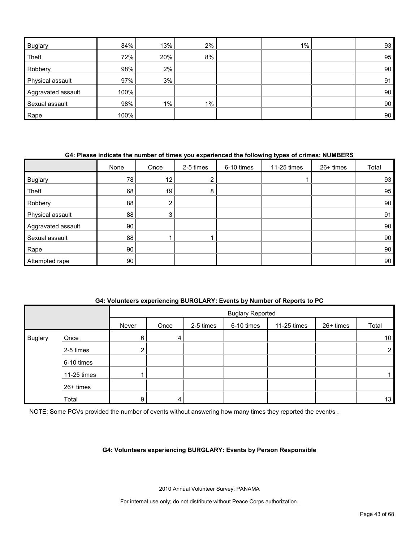| <b>Buglary</b>     | 84%  | 13%   | $2\%$ | $1\%$ | 93 |
|--------------------|------|-------|-------|-------|----|
| Theft              | 72%  | 20%   | 8%    |       | 95 |
| Robbery            | 98%  | 2%    |       |       | 90 |
| Physical assault   | 97%  | 3%    |       |       | 91 |
| Aggravated assault | 100% |       |       |       | 90 |
| Sexual assault     | 98%  | $1\%$ | $1\%$ |       | 90 |
| Rape               | 100% |       |       |       | 90 |

#### **G4: Please indicate the number of times you experienced the following types of crimes: NUMBERS**

|                    | None | Once                  | 2-5 times | 6-10 times | 11-25 times | 26+ times | Total |
|--------------------|------|-----------------------|-----------|------------|-------------|-----------|-------|
| <b>Buglary</b>     | 78   | 12 <sub>1</sub>       | ົ<br>∠    |            |             |           | 93    |
| Theft              | 68   | 19                    | 8         |            |             |           | 95    |
| Robbery            | 88   | $\mathbf{2}^{\prime}$ |           |            |             |           | 90    |
| Physical assault   | 88   | 3                     |           |            |             |           | 91    |
| Aggravated assault | 90   |                       |           |            |             |           | 90    |
| Sexual assault     | 88   |                       |           |            |             |           | 90    |
| Rape               | 90   |                       |           |            |             |           | 90    |
| Attempted rape     | 90   |                       |           |            |             |           | 90    |

#### **G4: Volunteers experiencing BURGLARY: Events by Number of Reports to PC**

|                |             |       | <b>Buglary Reported</b> |           |            |             |           |                 |
|----------------|-------------|-------|-------------------------|-----------|------------|-------------|-----------|-----------------|
|                |             | Never | Once                    | 2-5 times | 6-10 times | 11-25 times | 26+ times | Total           |
| <b>Buglary</b> | Once        | 6     | 4                       |           |            |             |           | 10 <sup>1</sup> |
|                | 2-5 times   |       |                         |           |            |             |           | $\overline{2}$  |
|                | 6-10 times  |       |                         |           |            |             |           |                 |
|                | 11-25 times |       |                         |           |            |             |           |                 |
|                | 26+ times   |       |                         |           |            |             |           |                 |
|                | Total       | 9     | 4                       |           |            |             |           | 13              |

NOTE: Some PCVs provided the number of events without answering how many times they reported the event/s .

#### **G4: Volunteers experiencing BURGLARY: Events by Person Responsible**

2010 Annual Volunteer Survey: PANAMA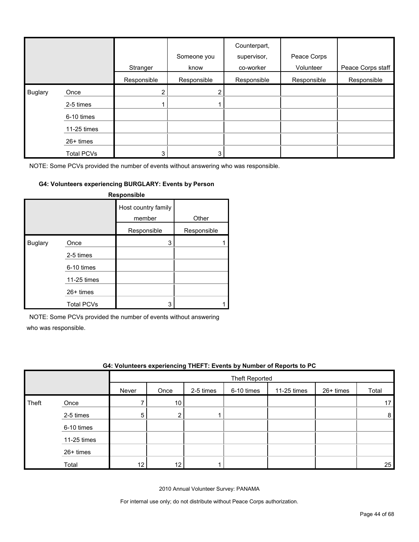|                |                   | Stranger       | Someone you<br>know | Counterpart,<br>supervisor,<br>co-worker | Peace Corps<br>Volunteer | Peace Corps staff |
|----------------|-------------------|----------------|---------------------|------------------------------------------|--------------------------|-------------------|
|                |                   | Responsible    | Responsible         | Responsible                              | Responsible              | Responsible       |
| <b>Buglary</b> | Once              | $\overline{2}$ | 2                   |                                          |                          |                   |
|                | 2-5 times         |                |                     |                                          |                          |                   |
|                | 6-10 times        |                |                     |                                          |                          |                   |
|                | 11-25 times       |                |                     |                                          |                          |                   |
|                | 26+ times         |                |                     |                                          |                          |                   |
|                | <b>Total PCVs</b> | 3              | 3                   |                                          |                          |                   |

#### **G4: Volunteers experiencing BURGLARY: Events by Person**

|                |                   | <b>Responsible</b>            |             |
|----------------|-------------------|-------------------------------|-------------|
|                |                   | Host country family<br>member | Other       |
|                |                   | Responsible                   | Responsible |
| <b>Buglary</b> | Once              | 3                             |             |
|                | 2-5 times         |                               |             |
|                | 6-10 times        |                               |             |
|                | 11-25 times       |                               |             |
|                | $26+$ times       |                               |             |
|                | <b>Total PCVs</b> | 3                             |             |

NOTE: Some PCVs provided the number of events without answering

who was responsible.

|       | G4: Volunteers experiencing THEFT: Events by Number of Reports to PC |       |                |           |            |             |           |       |
|-------|----------------------------------------------------------------------|-------|----------------|-----------|------------|-------------|-----------|-------|
|       |                                                                      |       | Theft Reported |           |            |             |           |       |
|       |                                                                      | Never | Once           | 2-5 times | 6-10 times | 11-25 times | 26+ times | Total |
| Theft | Once                                                                 |       | 10             |           |            |             |           |       |
|       | 2-5 times                                                            | 5     | ◠              |           |            |             |           | 8     |
|       | 6-10 times                                                           |       |                |           |            |             |           |       |
|       | 11-25 times                                                          |       |                |           |            |             |           |       |
|       | $26+$ times                                                          |       |                |           |            |             |           |       |
|       | Total                                                                | 12    | 12             |           |            |             |           | 25    |

2010 Annual Volunteer Survey: PANAMA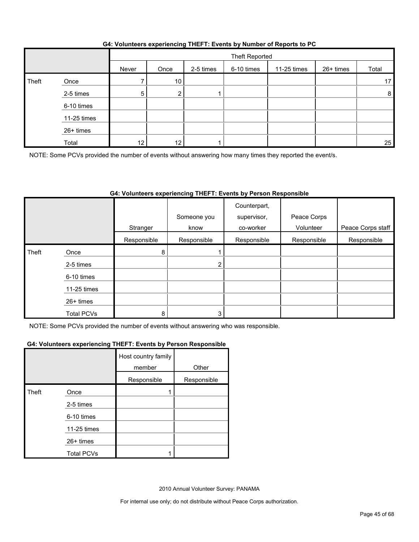|  | G4: Volunteers experiencing THEFT: Events by Number of Reports to PC |
|--|----------------------------------------------------------------------|
|  |                                                                      |

|       |             |       | Theft Reported |           |            |             |           |                |
|-------|-------------|-------|----------------|-----------|------------|-------------|-----------|----------------|
|       |             | Never | Once           | 2-5 times | 6-10 times | 11-25 times | 26+ times | Total          |
| Theft | Once        |       | 10             |           |            |             |           | 17             |
|       | 2-5 times   | 5     | c              |           |            |             |           | 8 <sup>1</sup> |
|       | 6-10 times  |       |                |           |            |             |           |                |
|       | 11-25 times |       |                |           |            |             |           |                |
|       | 26+ times   |       |                |           |            |             |           |                |
|       | Total       | 12    | 12             |           |            |             |           | 25             |

NOTE: Some PCVs provided the number of events without answering how many times they reported the event/s.

#### **G4: Volunteers experiencing THEFT: Events by Person Responsible**

|       |                   |             | Someone you    | Counterpart,<br>supervisor, | Peace Corps |                   |
|-------|-------------------|-------------|----------------|-----------------------------|-------------|-------------------|
|       |                   | Stranger    | know           | co-worker                   | Volunteer   | Peace Corps staff |
|       |                   | Responsible | Responsible    | Responsible                 | Responsible | Responsible       |
| Theft | Once              | 8           |                |                             |             |                   |
|       | 2-5 times         |             | $\overline{2}$ |                             |             |                   |
|       | 6-10 times        |             |                |                             |             |                   |
|       | 11-25 times       |             |                |                             |             |                   |
|       | 26+ times         |             |                |                             |             |                   |
|       | <b>Total PCVs</b> | 8           |                |                             |             |                   |

NOTE: Some PCVs provided the number of events without answering who was responsible.

#### **G4: Volunteers experiencing THEFT: Events by Person Responsible**

|       |                   | Host country family<br>member | Other       |
|-------|-------------------|-------------------------------|-------------|
|       |                   | Responsible                   | Responsible |
| Theft | Once              |                               |             |
|       | 2-5 times         |                               |             |
|       | 6-10 times        |                               |             |
|       | 11-25 times       |                               |             |
|       | 26+ times         |                               |             |
|       | <b>Total PCVs</b> |                               |             |

2010 Annual Volunteer Survey: PANAMA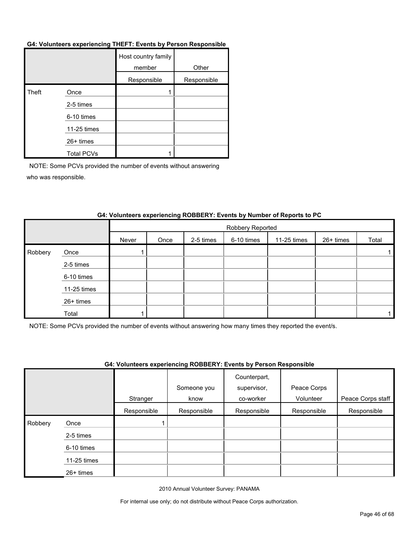#### **G4: Volunteers experiencing THEFT: Events by Person Responsible**

|       |                   | Host country family<br>member | Other       |
|-------|-------------------|-------------------------------|-------------|
|       |                   | Responsible                   | Responsible |
| Theft | Once              |                               |             |
|       | 2-5 times         |                               |             |
|       | 6-10 times        |                               |             |
|       | 11-25 times       |                               |             |
|       | 26+ times         |                               |             |
|       | <b>Total PCVs</b> |                               |             |

NOTE: Some PCVs provided the number of events without answering who was responsible.

|         |             |       | Robbery Reported |           |            |             |           |       |  |  |
|---------|-------------|-------|------------------|-----------|------------|-------------|-----------|-------|--|--|
|         |             | Never | Once             | 2-5 times | 6-10 times | 11-25 times | 26+ times | Total |  |  |
| Robbery | Once        |       |                  |           |            |             |           |       |  |  |
|         | 2-5 times   |       |                  |           |            |             |           |       |  |  |
|         | 6-10 times  |       |                  |           |            |             |           |       |  |  |
|         | 11-25 times |       |                  |           |            |             |           |       |  |  |
|         | 26+ times   |       |                  |           |            |             |           |       |  |  |
|         | Total       |       |                  |           |            |             |           |       |  |  |

#### **G4: Volunteers experiencing ROBBERY: Events by Number of Reports to PC**

NOTE: Some PCVs provided the number of events without answering how many times they reported the event/s.

#### **G4: Volunteers experiencing ROBBERY: Events by Person Responsible**

|         |             |             | Someone you | Counterpart,<br>supervisor, | Peace Corps |                   |
|---------|-------------|-------------|-------------|-----------------------------|-------------|-------------------|
|         |             | Stranger    | know        | co-worker                   | Volunteer   | Peace Corps staff |
|         |             | Responsible | Responsible | Responsible                 | Responsible | Responsible       |
| Robbery | Once        |             |             |                             |             |                   |
|         | 2-5 times   |             |             |                             |             |                   |
|         | 6-10 times  |             |             |                             |             |                   |
|         | 11-25 times |             |             |                             |             |                   |
|         | 26+ times   |             |             |                             |             |                   |

2010 Annual Volunteer Survey: PANAMA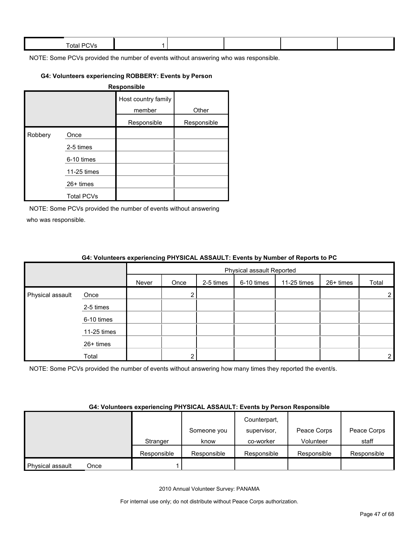| Total.<br>. .<br>$\cdot$ |  |  |  |
|--------------------------|--|--|--|
|                          |  |  |  |

#### **G4: Volunteers experiencing ROBBERY: Events by Person**

|         |                   | Responsible                   |             |
|---------|-------------------|-------------------------------|-------------|
|         |                   | Host country family<br>member | Other       |
|         |                   | Responsible                   | Responsible |
| Robbery | Once              |                               |             |
|         | 2-5 times         |                               |             |
|         | 6-10 times        |                               |             |
|         | 11-25 times       |                               |             |
|         | $26+$ times       |                               |             |
|         | <b>Total PCVs</b> |                               |             |

NOTE: Some PCVs provided the number of events without answering who was responsible.

|                  |             |       | <b>OT. TORINGTO CAPCHONDING I THOROGE ACOACET. EVOING BY NUMBER OF NUPOLIS 10 F</b> |           |            |             |           |                |  |  |  |
|------------------|-------------|-------|-------------------------------------------------------------------------------------|-----------|------------|-------------|-----------|----------------|--|--|--|
|                  |             |       | Physical assault Reported                                                           |           |            |             |           |                |  |  |  |
|                  |             | Never | Once                                                                                | 2-5 times | 6-10 times | 11-25 times | 26+ times | Total          |  |  |  |
| Physical assault | Once        |       |                                                                                     |           |            |             |           | $\overline{2}$ |  |  |  |
|                  | 2-5 times   |       |                                                                                     |           |            |             |           |                |  |  |  |
|                  | 6-10 times  |       |                                                                                     |           |            |             |           |                |  |  |  |
|                  | 11-25 times |       |                                                                                     |           |            |             |           |                |  |  |  |
|                  | 26+ times   |       |                                                                                     |           |            |             |           |                |  |  |  |
|                  | Total       |       | ◠                                                                                   |           |            |             |           | 2 <sub>1</sub> |  |  |  |

#### **G4: Volunteers experiencing PHYSICAL ASSAULT: Events by Number of Reports to PC**

NOTE: Some PCVs provided the number of events without answering how many times they reported the event/s.

#### **G4: Volunteers experiencing PHYSICAL ASSAULT: Events by Person Responsible**

|                  |      |             |             | Counterpart, |             |             |
|------------------|------|-------------|-------------|--------------|-------------|-------------|
|                  |      |             | Someone you | supervisor,  | Peace Corps | Peace Corps |
|                  |      | Stranger    | know        | co-worker    | Volunteer   | staff       |
|                  |      | Responsible | Responsible | Responsible  | Responsible | Responsible |
| Physical assault | Once |             |             |              |             |             |

2010 Annual Volunteer Survey: PANAMA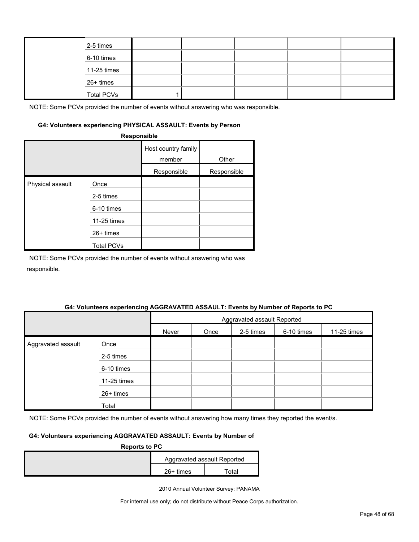| 2-5 times         |  |  |  |
|-------------------|--|--|--|
| 6-10 times        |  |  |  |
| 11-25 times       |  |  |  |
| 26+ times         |  |  |  |
| <b>Total PCVs</b> |  |  |  |

#### **G4: Volunteers experiencing PHYSICAL ASSAULT: Events by Person**

|                  | Responsible       |                               |             |
|------------------|-------------------|-------------------------------|-------------|
|                  |                   | Host country family<br>member | Other       |
|                  |                   | Responsible                   | Responsible |
| Physical assault | Once              |                               |             |
|                  | 2-5 times         |                               |             |
|                  | 6-10 times        |                               |             |
|                  | 11-25 times       |                               |             |
|                  | 26+ times         |                               |             |
|                  | <b>Total PCVs</b> |                               |             |

NOTE: Some PCVs provided the number of events without answering who was responsible.

#### **G4: Volunteers experiencing AGGRAVATED ASSAULT: Events by Number of Reports to PC**

|                    |               |       | Aggravated assault Reported |           |            |             |  |  |
|--------------------|---------------|-------|-----------------------------|-----------|------------|-------------|--|--|
|                    |               | Never | Once                        | 2-5 times | 6-10 times | 11-25 times |  |  |
| Aggravated assault | Once          |       |                             |           |            |             |  |  |
|                    | 2-5 times     |       |                             |           |            |             |  |  |
|                    | 6-10 times    |       |                             |           |            |             |  |  |
|                    | $11-25$ times |       |                             |           |            |             |  |  |
|                    | 26+ times     |       |                             |           |            |             |  |  |
|                    | Total         |       |                             |           |            |             |  |  |

NOTE: Some PCVs provided the number of events without answering how many times they reported the event/s.

#### **G4: Volunteers experiencing AGGRAVATED ASSAULT: Events by Number of**

| <b>Reports to PC</b> |             |                             |  |  |
|----------------------|-------------|-----------------------------|--|--|
|                      |             | Aggravated assault Reported |  |  |
|                      | $26+$ times | ™otal                       |  |  |

2010 Annual Volunteer Survey: PANAMA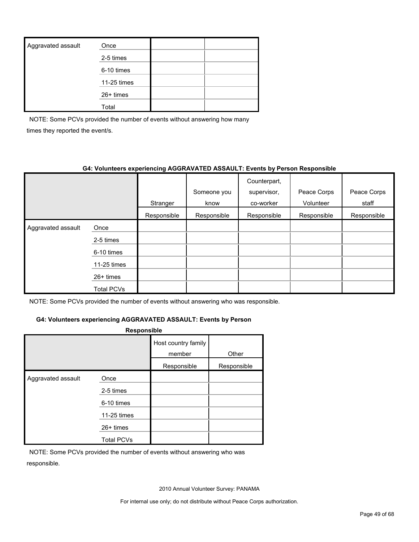| Aggravated assault | Once        |  |
|--------------------|-------------|--|
|                    | 2-5 times   |  |
|                    | 6-10 times  |  |
|                    | 11-25 times |  |
|                    | $26+$ times |  |
|                    | Total       |  |

NOTE: Some PCVs provided the number of events without answering how many times they reported the event/s.

#### **G4: Volunteers experiencing AGGRAVATED ASSAULT: Events by Person Responsible**

|                    |             |             | Someone you | Counterpart,<br>supervisor, | Peace Corps | Peace Corps |
|--------------------|-------------|-------------|-------------|-----------------------------|-------------|-------------|
|                    |             | Stranger    | know        | co-worker                   | Volunteer   | staff       |
|                    |             | Responsible | Responsible | Responsible                 | Responsible | Responsible |
| Aggravated assault | Once        |             |             |                             |             |             |
|                    | 2-5 times   |             |             |                             |             |             |
|                    | 6-10 times  |             |             |                             |             |             |
|                    | 11-25 times |             |             |                             |             |             |
|                    | $26+$ times |             |             |                             |             |             |
|                    | Total PCVs  |             |             |                             |             |             |

NOTE: Some PCVs provided the number of events without answering who was responsible.

#### **G4: Volunteers experiencing AGGRAVATED ASSAULT: Events by Person**

| <b>Responsible</b> |                   |                               |             |  |  |  |  |
|--------------------|-------------------|-------------------------------|-------------|--|--|--|--|
|                    |                   | Host country family<br>member | Other       |  |  |  |  |
|                    |                   | Responsible                   | Responsible |  |  |  |  |
| Aggravated assault | Once              |                               |             |  |  |  |  |
|                    | 2-5 times         |                               |             |  |  |  |  |
|                    | 6-10 times        |                               |             |  |  |  |  |
|                    | 11-25 times       |                               |             |  |  |  |  |
|                    | $26+$ times       |                               |             |  |  |  |  |
|                    | <b>Total PCVs</b> |                               |             |  |  |  |  |

NOTE: Some PCVs provided the number of events without answering who was responsible.

2010 Annual Volunteer Survey: PANAMA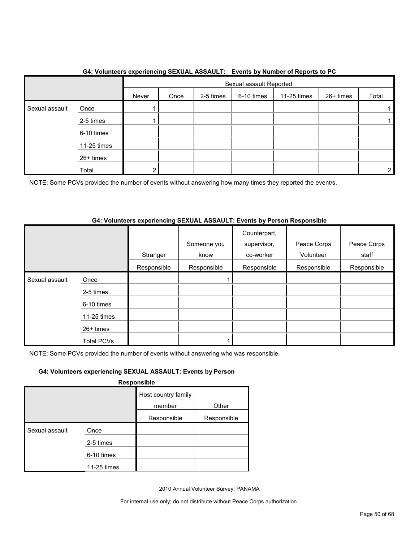|                |             |       | Sexual assault Reported |           |            |             |           |       |
|----------------|-------------|-------|-------------------------|-----------|------------|-------------|-----------|-------|
|                |             | Never | Once                    | 2-5 times | 6-10 times | 11-25 times | 26+ times | Total |
| Sexual assault | Once        |       |                         |           |            |             |           |       |
|                | 2-5 times   |       |                         |           |            |             |           |       |
|                | 6-10 times  |       |                         |           |            |             |           |       |
|                | 11-25 times |       |                         |           |            |             |           |       |
|                | 26+ times   |       |                         |           |            |             |           |       |
|                | Total       | 2     |                         |           |            |             |           | 2     |

#### **G4: Volunteers experiencing SEXUAL ASSAULT: Events by Number of Reports to PC**

NOTE: Some PCVs provided the number of events without answering how many times they reported the event/s.

#### **G4: Volunteers experiencing SEXUAL ASSAULT: Events by Person Responsible**

|                |                   | Stranger    | Someone you<br>know | Counterpart,<br>supervisor,<br>co-worker | Peace Corps<br>Volunteer | Peace Corps<br>staff |
|----------------|-------------------|-------------|---------------------|------------------------------------------|--------------------------|----------------------|
|                |                   | Responsible | Responsible         | Responsible                              | Responsible              | Responsible          |
| Sexual assault | Once              |             |                     |                                          |                          |                      |
|                | 2-5 times         |             |                     |                                          |                          |                      |
|                | 6-10 times        |             |                     |                                          |                          |                      |
|                | 11-25 times       |             |                     |                                          |                          |                      |
|                | $26+$ times       |             |                     |                                          |                          |                      |
|                | <b>Total PCVs</b> |             |                     |                                          |                          |                      |

NOTE: Some PCVs provided the number of events without answering who was responsible.

#### **G4: Volunteers experiencing SEXUAL ASSAULT: Events by Person**

**Responsible**

|                |             | Host country family |             |
|----------------|-------------|---------------------|-------------|
|                |             | member              | Other       |
|                |             | Responsible         | Responsible |
| Sexual assault | Once        |                     |             |
|                | 2-5 times   |                     |             |
|                | 6-10 times  |                     |             |
|                | 11-25 times |                     |             |

2010 Annual Volunteer Survey: PANAMA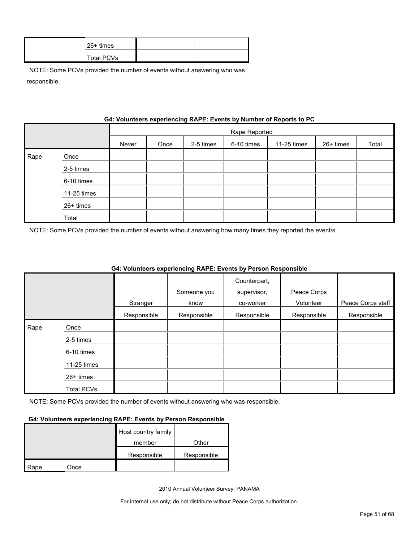| 26+ times  |  |
|------------|--|
| Total PCVs |  |

|      |             | G4: VOIUNTERS EXPERIENCING RAPE: EVENTS by NUMBER OF REPORTS TO PU |               |           |            |             |           |       |
|------|-------------|--------------------------------------------------------------------|---------------|-----------|------------|-------------|-----------|-------|
|      |             |                                                                    | Rape Reported |           |            |             |           |       |
|      |             | Never                                                              | Once          | 2-5 times | 6-10 times | 11-25 times | 26+ times | Total |
| Rape | Once        |                                                                    |               |           |            |             |           |       |
|      | 2-5 times   |                                                                    |               |           |            |             |           |       |
|      | 6-10 times  |                                                                    |               |           |            |             |           |       |
|      | 11-25 times |                                                                    |               |           |            |             |           |       |
|      | 26+ times   |                                                                    |               |           |            |             |           |       |
|      | Total       |                                                                    |               |           |            |             |           |       |

### **Gynorionaing DADE: Events by Number of Bens**

NOTE: Some PCVs provided the number of events without answering how many times they reported the event/s .

|      |                   |             |             | Counterpart, |             |                   |
|------|-------------------|-------------|-------------|--------------|-------------|-------------------|
|      |                   |             | Someone you | supervisor,  | Peace Corps |                   |
|      |                   | Stranger    | know        | co-worker    | Volunteer   | Peace Corps staff |
|      |                   | Responsible | Responsible | Responsible  | Responsible | Responsible       |
| Rape | Once              |             |             |              |             |                   |
|      | 2-5 times         |             |             |              |             |                   |
|      | 6-10 times        |             |             |              |             |                   |
|      | 11-25 times       |             |             |              |             |                   |
|      | $26+$ times       |             |             |              |             |                   |
|      | <b>Total PCVs</b> |             |             |              |             |                   |

#### **G4: Volunteers experiencing RAPE: Events by Person Responsible**

NOTE: Some PCVs provided the number of events without answering who was responsible.

#### **G4: Volunteers experiencing RAPE: Events by Person Responsible**

|      |      | Host country family |             |
|------|------|---------------------|-------------|
|      |      | member              | Other       |
|      |      | Responsible         | Responsible |
| Rape | Once |                     |             |

2010 Annual Volunteer Survey: PANAMA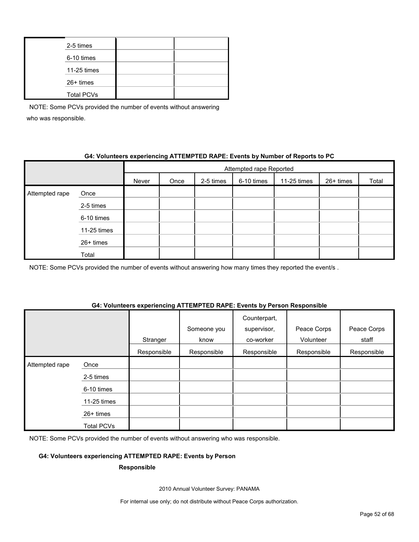| 2-5 times         |  |
|-------------------|--|
| 6-10 times        |  |
| 11-25 times       |  |
| 26+ times         |  |
| <b>Total PCVs</b> |  |

#### **G4: Volunteers experiencing ATTEMPTED RAPE: Events by Number of Reports to PC**

|                |             | Attempted rape Reported |      |           |            |             |           |       |
|----------------|-------------|-------------------------|------|-----------|------------|-------------|-----------|-------|
|                |             | Never                   | Once | 2-5 times | 6-10 times | 11-25 times | 26+ times | Total |
| Attempted rape | Once        |                         |      |           |            |             |           |       |
|                | 2-5 times   |                         |      |           |            |             |           |       |
|                | 6-10 times  |                         |      |           |            |             |           |       |
|                | 11-25 times |                         |      |           |            |             |           |       |
|                | 26+ times   |                         |      |           |            |             |           |       |
|                | Total       |                         |      |           |            |             |           |       |

NOTE: Some PCVs provided the number of events without answering how many times they reported the event/s.

#### **G4: Volunteers experiencing ATTEMPTED RAPE: Events by Person Responsible**

|                |                   | Stranger    | Someone you<br>know | Counterpart,<br>supervisor,<br>co-worker | Peace Corps<br>Volunteer | Peace Corps<br>staff |
|----------------|-------------------|-------------|---------------------|------------------------------------------|--------------------------|----------------------|
|                |                   | Responsible | Responsible         | Responsible                              | Responsible              | Responsible          |
| Attempted rape | Once              |             |                     |                                          |                          |                      |
|                | 2-5 times         |             |                     |                                          |                          |                      |
|                | 6-10 times        |             |                     |                                          |                          |                      |
|                | 11-25 times       |             |                     |                                          |                          |                      |
|                | 26+ times         |             |                     |                                          |                          |                      |
|                | <b>Total PCVs</b> |             |                     |                                          |                          |                      |

NOTE: Some PCVs provided the number of events without answering who was responsible.

#### **G4: Volunteers experiencing ATTEMPTED RAPE: Events by Person**

#### **Responsible**

2010 Annual Volunteer Survey: PANAMA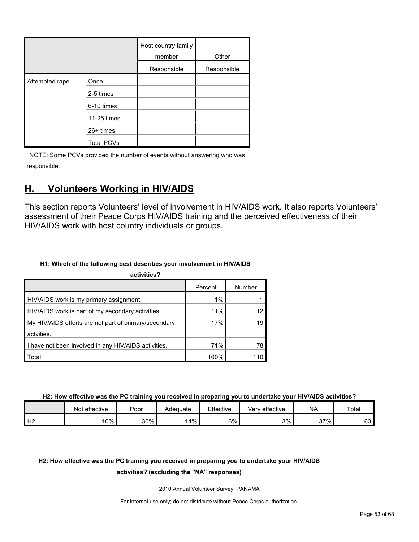|                |                   | Host country family<br>member | Other       |
|----------------|-------------------|-------------------------------|-------------|
|                |                   | Responsible                   | Responsible |
| Attempted rape | Once              |                               |             |
|                | 2-5 times         |                               |             |
|                | 6-10 times        |                               |             |
|                | 11-25 times       |                               |             |
|                | 26+ times         |                               |             |
|                | <b>Total PCVs</b> |                               |             |

### <span id="page-52-0"></span>**H. Volunteers Working in HIV/AIDS**

This section reports Volunteers' level of involvement in HIV/AIDS work. It also reports Volunteers' assessment of their Peace Corps HIV/AIDS training and the perceived effectiveness of their HIV/AIDS work with host country individuals or groups.

#### **H1: Which of the following best describes your involvement in HIV/AIDS**

| activities?                                           |         |        |
|-------------------------------------------------------|---------|--------|
|                                                       | Percent | Number |
| HIV/AIDS work is my primary assignment.               | 1%      |        |
| HIV/AIDS work is part of my secondary activities.     | 11%     | 12     |
| My HIV/AIDS efforts are not part of primary/secondary | 17%     | 19     |
| actvities.                                            |         |        |
| I have not been involved in any HIV/AIDS activities.  | 71%     | 78     |
| Total                                                 | 100%    |        |

**H2: How effective was the PC training you received in preparing you to undertake your HIV/AIDS activities?**

|    | effective<br>Not | Poor | Adequate | Effective | Very effective | <b>NA</b> | Total    |
|----|------------------|------|----------|-----------|----------------|-----------|----------|
| Н2 | 10%              | 30%  | 4%       | 6%        | 3%             | 37%       | rn<br>υυ |

### **H2: How effective was the PC training you received in preparing you to undertake your HIV/AIDS**

#### **activities? (excluding the "NA" responses)**

2010 Annual Volunteer Survey: PANAMA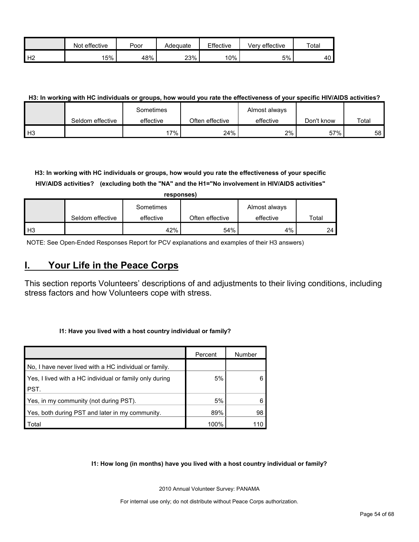|                | effective<br>Not | Poor | Adequate | Effective | Very effective | $\tau$ otar |
|----------------|------------------|------|----------|-----------|----------------|-------------|
| H <sub>2</sub> | 5%               | 48%  | 23%      | 10%       | 5%             | 1 N<br>4υ   |

#### **H3: In working with HC individuals or groups, how would you rate the effectiveness of your specific HIV/AIDS activities?**

|                |                  | Sometimes |                 | Almost always |            |       |
|----------------|------------------|-----------|-----------------|---------------|------------|-------|
|                | Seldom effective | effective | Often effective | effective     | Don't know | Total |
| H <sub>3</sub> |                  | 7%        | 24%             | 2%            | 57%        | 58 I  |

**H3: In working with HC individuals or groups, how would you rate the effectiveness of your specific HIV/AIDS activities? (excluding both the "NA" and the H1="No involvement in HIV/AIDS activities"** 

|                |                  | responses) |                 |               |       |
|----------------|------------------|------------|-----------------|---------------|-------|
|                |                  | Sometimes  |                 | Almost always |       |
|                | Seldom effective | effective  | Often effective | effective     | Total |
| H <sub>3</sub> |                  | 42%        | 54%             | 4%            | 24    |

NOTE: See Open-Ended Responses Report for PCV explanations and examples of their H3 answers)

### <span id="page-53-0"></span>**I. Your Life in the Peace Corps**

This section reports Volunteers' descriptions of and adjustments to their living conditions, including stress factors and how Volunteers cope with stress.

#### **I1: Have you lived with a host country individual or family?**

|                                                         | Percent | Number |
|---------------------------------------------------------|---------|--------|
| No, I have never lived with a HC individual or family.  |         |        |
| Yes, I lived with a HC individual or family only during | 5%      |        |
| PST.                                                    |         |        |
| Yes, in my community (not during PST).                  | 5%      |        |
| Yes, both during PST and later in my community.         | 89%     | 98     |
| Total                                                   | 100%    | 110    |

#### **I1: How long (in months) have you lived with a host country individual or family?**

2010 Annual Volunteer Survey: PANAMA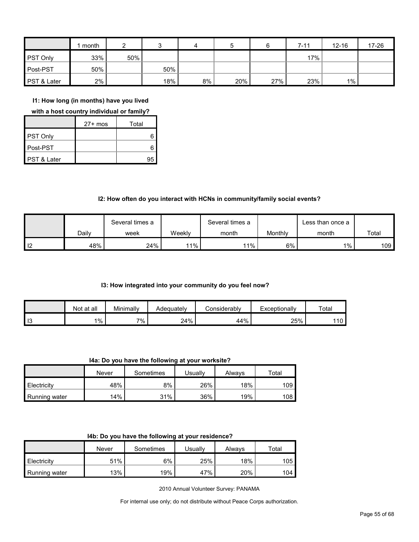|                 | month |     |     | 4  | 5   |     | $7 - 11$ | $12 - 16$ | 17-26 |
|-----------------|-------|-----|-----|----|-----|-----|----------|-----------|-------|
| <b>PST Only</b> | 33%   | 50% |     |    |     |     | 17%      |           |       |
| Post-PST        | 50%   |     | 50% |    |     |     |          |           |       |
| PST & Later     | 2%    |     | 18% | 8% | 20% | 27% | 23%      | $1\%$     |       |

**I1: How long (in months) have you lived** 

**with a host country individual or family?**

|                        | $27+$ mos | Total |
|------------------------|-----------|-------|
| PST Only               |           |       |
| Post-PST               |           |       |
| <b>PST &amp; Later</b> |           | 95    |

#### **I2: How often do you interact with HCNs in community/family social events?**

|                |       | Several times a |        | Several times a |         | Less than once a |       |
|----------------|-------|-----------------|--------|-----------------|---------|------------------|-------|
|                | Dailv | week            | Weeklv | month           | Monthly | month            | Total |
| $\overline{2}$ | 48%   | 24%             | 11%    | 11%             | 6%      | $1\%$            | 109   |

#### **I3: How integrated into your community do you feel now?**

|      | Not at all | Minimally | Adeauatelv | :onsiderablv | Exceptionally | Total |
|------|------------|-----------|------------|--------------|---------------|-------|
| l 13 | $1\%$      | $7\%$ .   | 24%        | 44%          | 25%           | 110   |

**I4a: Do you have the following at your worksite?**

|               | Never | Sometimes | <b>Jsually</b> | Alwavs | Total |
|---------------|-------|-----------|----------------|--------|-------|
| Electricity   | 48%   | 8%        | 26%            | 18%    | 109   |
| Running water | 14%   | 31%       | 36%            | 19%    | 108   |

|  | 14b: Do you have the following at your residence? |  |
|--|---------------------------------------------------|--|
|--|---------------------------------------------------|--|

|               | Never | Sometimes | Usuallv | Always | $\tau$ otal |
|---------------|-------|-----------|---------|--------|-------------|
| Electricity   | 51%   | 6%        | 25%     | 18%    | 105         |
| Running water | 13%   | 19%       | 47%     | 20%    | 104         |

2010 Annual Volunteer Survey: PANAMA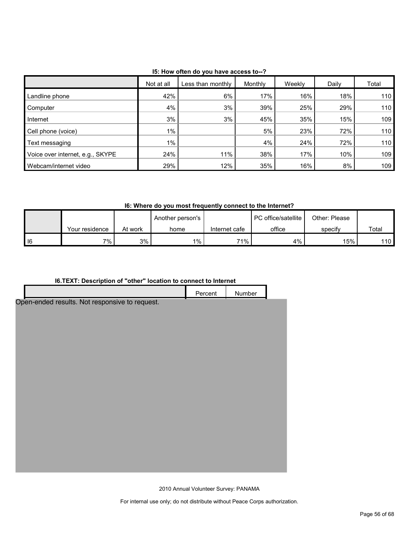|                                  | Not at all | Less than monthly | Monthly | Weekly | Daily | Total |
|----------------------------------|------------|-------------------|---------|--------|-------|-------|
| Landline phone                   | 42%        | 6%                | 17%     | 16%    | 18%   | 110   |
| Computer                         | 4%         | 3%                | 39%     | 25%    | 29%   | 110   |
| Internet                         | 3%         | 3%                | 45%     | 35%    | 15%   | 109   |
| Cell phone (voice)               | $1\%$      |                   | 5%      | 23%    | 72%   | 110   |
| Text messaging                   | $1\%$      |                   | 4%      | 24%    | 72%   | 110   |
| Voice over internet, e.g., SKYPE | 24%        | 11%               | 38%     | 17%    | 10%   | 109   |
| Webcam/internet video            | 29%        | 12%               | 35%     | 16%    | 8%    | 109   |

**I5: How often do you have access to--?**

**I6: Where do you most frequently connect to the Internet?**

|      |                |         | Another person's |               | <b>I</b> PC office/satellite | Other: Please |       |
|------|----------------|---------|------------------|---------------|------------------------------|---------------|-------|
|      | Your residence | At work | home             | Internet cafe | office                       | specify       | Total |
| I 16 | 7% .           | 3%      | $1\%$            | 71%           | 4%                           | 15%           | 110   |

#### **I6.TEXT: Description of "other" location to connect to Internet**

| I6. TEXT: Description of "other" location to connect to Internet |         |        |  |  |  |
|------------------------------------------------------------------|---------|--------|--|--|--|
|                                                                  | Percent | Number |  |  |  |
| Open-ended results. Not responsive to request.                   |         |        |  |  |  |
|                                                                  |         |        |  |  |  |
|                                                                  |         |        |  |  |  |
|                                                                  |         |        |  |  |  |
|                                                                  |         |        |  |  |  |
|                                                                  |         |        |  |  |  |
|                                                                  |         |        |  |  |  |
|                                                                  |         |        |  |  |  |
|                                                                  |         |        |  |  |  |
|                                                                  |         |        |  |  |  |
|                                                                  |         |        |  |  |  |
|                                                                  |         |        |  |  |  |
|                                                                  |         |        |  |  |  |
|                                                                  |         |        |  |  |  |
|                                                                  |         |        |  |  |  |
|                                                                  |         |        |  |  |  |
|                                                                  |         |        |  |  |  |
|                                                                  |         |        |  |  |  |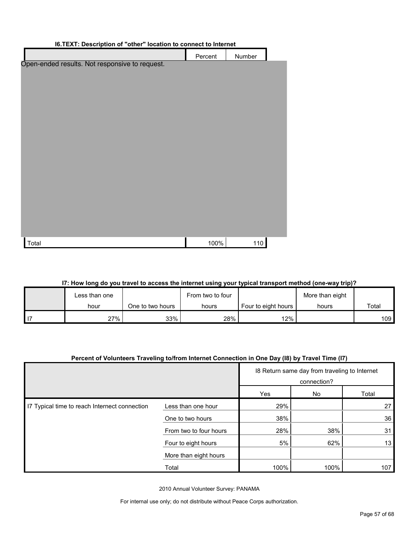| <b>10.1</b> LAT. Description of other location to connect to internet |         |        |  |  |
|-----------------------------------------------------------------------|---------|--------|--|--|
|                                                                       | Percent | Number |  |  |
| Open-ended results. Not responsive to request.                        |         |        |  |  |
|                                                                       |         |        |  |  |
|                                                                       |         |        |  |  |
|                                                                       |         |        |  |  |
|                                                                       |         |        |  |  |
|                                                                       |         |        |  |  |
|                                                                       |         |        |  |  |
|                                                                       |         |        |  |  |
|                                                                       |         |        |  |  |
|                                                                       |         |        |  |  |
|                                                                       |         |        |  |  |
|                                                                       |         |        |  |  |
|                                                                       |         |        |  |  |
|                                                                       |         |        |  |  |
|                                                                       |         |        |  |  |
|                                                                       | 100%    |        |  |  |
| Total                                                                 |         | 110    |  |  |

#### **I6.TEXT: Description of "other" location to connect to Internet**

#### **I7: How long do you travel to access the internet using your typical transport method (one-way trip)?**

| Less than one |                  | From two to four |                     | More than eight |       |
|---------------|------------------|------------------|---------------------|-----------------|-------|
| hour          | One to two hours | hours            | Four to eight hours | hours           | Total |
| 27%           | 33%              | 28%              | $12\%$              |                 | 109   |

#### **Percent of Volunteers Traveling to/from Internet Connection in One Day (I8) by Travel Time (I7)**

|                                               |                        | 18 Return same day from traveling to Internet<br>connection? |      |       |
|-----------------------------------------------|------------------------|--------------------------------------------------------------|------|-------|
|                                               |                        | Yes                                                          | No   | Total |
| I7 Typical time to reach Internect connection | Less than one hour     | 29%                                                          |      | 27    |
|                                               | One to two hours       | 38%                                                          |      | 36    |
|                                               | From two to four hours | 28%                                                          | 38%  | 31    |
|                                               | Four to eight hours    | 5%                                                           | 62%  | 13    |
|                                               | More than eight hours  |                                                              |      |       |
|                                               | Total                  | 100%                                                         | 100% | 107   |

2010 Annual Volunteer Survey: PANAMA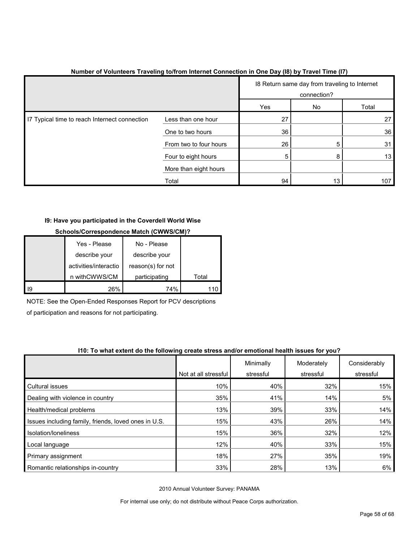|                                               |                        | 18 Return same day from traveling to Internet<br>connection? |    |       |
|-----------------------------------------------|------------------------|--------------------------------------------------------------|----|-------|
|                                               |                        | Yes                                                          | No | Total |
| I7 Typical time to reach Internect connection | Less than one hour     | 27                                                           |    | 27    |
|                                               | One to two hours       | 36                                                           |    | 36    |
|                                               | From two to four hours | 26                                                           | 5  | 31    |
|                                               | Four to eight hours    | 5                                                            | 8  | 13    |
|                                               | More than eight hours  |                                                              |    |       |
|                                               | Total                  | 94                                                           | 13 | 107   |

#### **Number of Volunteers Traveling to/from Internet Connection in One Day (I8) by Travel Time (I7)**

#### **I9: Have you participated in the Coverdell World Wise**

|    | Yes - Please          | No - Please       |       |
|----|-----------------------|-------------------|-------|
|    | describe your         | describe your     |       |
|    | activities/interactio | reason(s) for not |       |
|    | n withCWWS/CM         | participating     | Total |
| 19 | 26%                   | 74%               |       |

#### **Schools/Correspondence Match (CWWS/CM)?**

NOTE: See the Open-Ended Responses Report for PCV descriptions of participation and reasons for not participating.

#### **I10: To what extent do the following create stress and/or emotional health issues for you?**

|                                                      |                      | Minimally | Moderately | Considerably |
|------------------------------------------------------|----------------------|-----------|------------|--------------|
|                                                      | Not at all stressful | stressful | stressful  | stressful    |
| Cultural issues                                      | 10%                  | 40%       | 32%        | 15%          |
| Dealing with violence in country                     | 35%                  | 41%       | 14%        | 5%           |
| Health/medical problems                              | 13%                  | 39%       | 33%        | 14%          |
| Issues including family, friends, loved ones in U.S. | 15%                  | 43%       | 26%        | 14%          |
| Isolation/loneliness                                 | 15%                  | 36%       | 32%        | 12%          |
| Local language                                       | 12%                  | 40%       | 33%        | 15%          |
| Primary assignment                                   | 18%                  | 27%       | 35%        | 19%          |
| Romantic relationships in-country                    | 33%                  | 28%       | 13%        | 6%           |

2010 Annual Volunteer Survey: PANAMA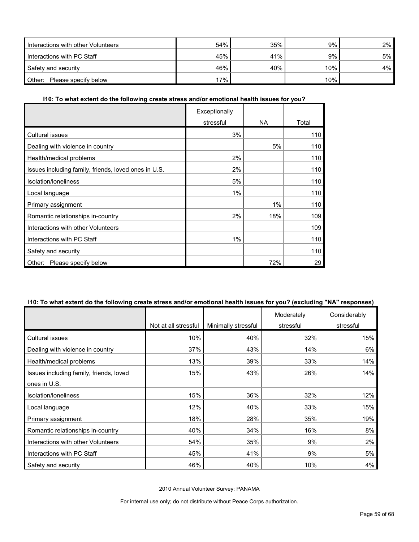| Interactions with other Volunteers | 54% | 35% | 9%  | 2% |
|------------------------------------|-----|-----|-----|----|
| Interactions with PC Staff         | 45% | 41% | 9%  | 5% |
| Safety and security                | 46% | 40% | 10% | 4% |
| Other: Please specify below        | 17% |     | 10% |    |

#### **I10: To what extent do the following create stress and/or emotional health issues for you?**

|                                                      | Exceptionally |           |       |
|------------------------------------------------------|---------------|-----------|-------|
|                                                      | stressful     | <b>NA</b> | Total |
| Cultural issues                                      | 3%            |           | 110   |
| Dealing with violence in country                     |               | 5%        | 110   |
| Health/medical problems                              | 2%            |           | 110   |
| Issues including family, friends, loved ones in U.S. | 2%            |           | 110   |
| Isolation/Ioneliness                                 | 5%            |           | 110   |
| Local language                                       | 1%            |           | 110   |
| Primary assignment                                   |               | 1%        | 110   |
| Romantic relationships in-country                    | 2%            | 18%       | 109   |
| Interactions with other Volunteers                   |               |           | 109   |
| Interactions with PC Staff                           | 1%            |           | 110   |
| Safety and security                                  |               |           | 110   |
| Please specify below<br>Other:                       |               | 72%       | 29    |

#### **I10: To what extent do the following create stress and/or emotional health issues for you? (excluding "NA" responses)**

|                                         | Not at all stressful | Minimally stressful | Moderately<br>stressful | Considerably<br>stressful |
|-----------------------------------------|----------------------|---------------------|-------------------------|---------------------------|
| Cultural issues                         | 10%                  | 40%                 | 32%                     | 15%                       |
| Dealing with violence in country        | 37%                  | 43%                 | 14%                     | 6%                        |
| Health/medical problems                 | 13%                  | 39%                 | 33%                     | 14%                       |
| Issues including family, friends, loved | 15%                  | 43%                 | 26%                     | 14%                       |
| ones in U.S.                            |                      |                     |                         |                           |
| Isolation/loneliness                    | 15%                  | 36%                 | 32%                     | 12%                       |
| Local language                          | 12%                  | 40%                 | 33%                     | 15%                       |
| Primary assignment                      | 18%                  | 28%                 | 35%                     | 19%                       |
| Romantic relationships in-country       | 40%                  | 34%                 | 16%                     | 8%                        |
| Interactions with other Volunteers      | 54%                  | 35%                 | 9%                      | 2%                        |
| Interactions with PC Staff              | 45%                  | 41%                 | 9%                      | 5%                        |
| Safety and security                     | 46%                  | 40%                 | 10%                     | 4%                        |

2010 Annual Volunteer Survey: PANAMA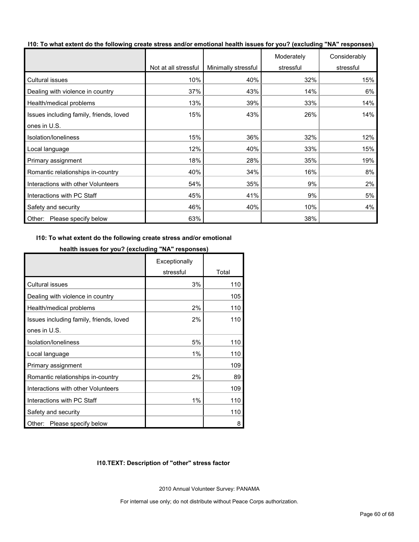|  | 110: To what extent do the following create stress and/or emotional health issues for you? (excluding "NA" responses) |  |  |  |  |
|--|-----------------------------------------------------------------------------------------------------------------------|--|--|--|--|
|--|-----------------------------------------------------------------------------------------------------------------------|--|--|--|--|

|                                         | Not at all stressful | Minimally stressful | Moderately<br>stressful | Considerably<br>stressful |
|-----------------------------------------|----------------------|---------------------|-------------------------|---------------------------|
|                                         |                      |                     |                         |                           |
| Cultural issues                         | 10%                  | 40%                 | 32%                     | 15%                       |
| Dealing with violence in country        | 37%                  | 43%                 | 14%                     | 6%                        |
| Health/medical problems                 | 13%                  | 39%                 | 33%                     | 14%                       |
| Issues including family, friends, loved | 15%                  | 43%                 | 26%                     | 14%                       |
| ones in U.S.                            |                      |                     |                         |                           |
| Isolation/loneliness                    | 15%                  | 36%                 | 32%                     | 12%                       |
| Local language                          | 12%                  | 40%                 | 33%                     | 15%                       |
| Primary assignment                      | 18%                  | 28%                 | 35%                     | 19%                       |
| Romantic relationships in-country       | 40%                  | 34%                 | 16%                     | 8%                        |
| Interactions with other Volunteers      | 54%                  | 35%                 | 9%                      | 2%                        |
| Interactions with PC Staff              | 45%                  | 41%                 | 9%                      | 5%                        |
| Safety and security                     | 46%                  | 40%                 | 10%                     | 4%                        |
| Other:<br>Please specify below          | 63%                  |                     | 38%                     |                           |

#### **I10: To what extent do the following create stress and/or emotional**

|                                         | Exceptionally |       |
|-----------------------------------------|---------------|-------|
|                                         | stressful     | Total |
| <b>Cultural issues</b>                  | 3%            | 110   |
| Dealing with violence in country        |               | 105   |
| Health/medical problems                 | 2%            | 110   |
| Issues including family, friends, loved | $2\%$         | 110   |
| ones in U.S.                            |               |       |
| Isolation/loneliness                    | 5%            | 110   |
| Local language                          | 1%            | 110   |
| Primary assignment                      |               | 109   |
| Romantic relationships in-country       | 2%            | 89    |
| Interactions with other Volunteers      |               | 109   |
| Interactions with PC Staff              | 1%            | 110   |
| Safety and security                     |               | 110   |
| Please specify below<br>Other:          |               | 8     |

#### **health issues for you? (excluding "NA" responses)**

#### **I10.TEXT: Description of "other" stress factor**

2010 Annual Volunteer Survey: PANAMA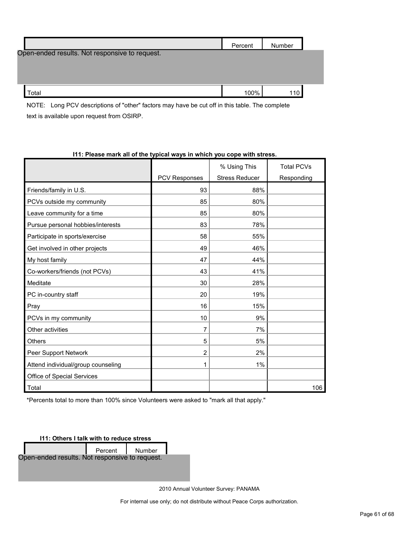|                                                | Percent | Number |  |
|------------------------------------------------|---------|--------|--|
| Open-ended results. Not responsive to request. |         |        |  |
|                                                |         |        |  |
|                                                |         |        |  |
| Total                                          | 100%    | 110    |  |

NOTE: Long PCV descriptions of "other" factors may have be cut off in this table. The complete text is available upon request from OSIRP.

|                                    |                      | % Using This          | <b>Total PCVs</b> |
|------------------------------------|----------------------|-----------------------|-------------------|
|                                    | <b>PCV Responses</b> | <b>Stress Reducer</b> | Responding        |
| Friends/family in U.S.             | 93                   | 88%                   |                   |
| PCVs outside my community          | 85                   | 80%                   |                   |
| Leave community for a time         | 85                   | 80%                   |                   |
| Pursue personal hobbies/interests  | 83                   | 78%                   |                   |
| Participate in sports/exercise     | 58                   | 55%                   |                   |
| Get involved in other projects     | 49                   | 46%                   |                   |
| My host family                     | 47                   | 44%                   |                   |
| Co-workers/friends (not PCVs)      | 43                   | 41%                   |                   |
| Meditate                           | 30                   | 28%                   |                   |
| PC in-country staff                | 20                   | 19%                   |                   |
| Pray                               | 16                   | 15%                   |                   |
| PCVs in my community               | 10                   | 9%                    |                   |
| Other activities                   | 7                    | 7%                    |                   |
| <b>Others</b>                      | 5                    | 5%                    |                   |
| Peer Support Network               | $\overline{2}$       | 2%                    |                   |
| Attend individual/group counseling | 1                    | 1%                    |                   |
| Office of Special Services         |                      |                       |                   |
| Total                              |                      |                       | 106               |

#### **I11: Please mark all of the typical ways in which you cope with stress.**

\*Percents total to more than 100% since Volunteers were asked to "mark all that apply."

**I11: Others I talk with to reduce stress**

Percent Number Open-ended results. Not responsive to request.

2010 Annual Volunteer Survey: PANAMA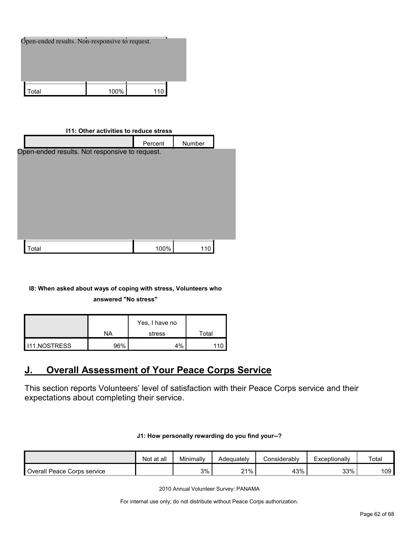| Open-ended results. Non-responsive to request. |      |  |  |  |  |
|------------------------------------------------|------|--|--|--|--|
|                                                |      |  |  |  |  |
| Гоtal                                          | 100% |  |  |  |  |

#### **I11: Other activities to reduce stress**

|                                                | Percent | Number |  |
|------------------------------------------------|---------|--------|--|
| Open-ended results. Not responsive to request. |         |        |  |
|                                                |         |        |  |
|                                                |         |        |  |
|                                                |         |        |  |
|                                                |         |        |  |
|                                                |         |        |  |
|                                                |         |        |  |
|                                                |         |        |  |
| Total                                          | 100%    | 110    |  |

#### **I8: When asked about ways of coping with stress, Volunteers who answered "No stress"**

|                       |     | Yes, I have no |       |
|-----------------------|-----|----------------|-------|
|                       | NA  | stress         | Total |
| <b>I</b> I11.NOSTRESS | 96% | 4%             |       |

### <span id="page-61-0"></span>**J. Overall Assessment of Your Peace Corps Service**

This section reports Volunteers' level of satisfaction with their Peace Corps service and their expectations about completing their service.

#### **J1: How personally rewarding do you find your--?**

|                             | Not at all | Minimally | Adequatelv | Considerably | Exceptionally | Total            |
|-----------------------------|------------|-----------|------------|--------------|---------------|------------------|
| Overall Peace Corps service |            | 3%        | $21\%$     | 43%          | 33%           | 109 <sub>l</sub> |

2010 Annual Volunteer Survey: PANAMA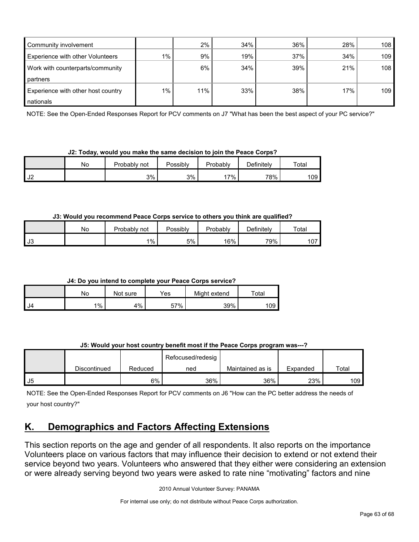| Community involvement                   |       | 2%    | 34% | 36% | 28% | 108 <sub>1</sub> |
|-----------------------------------------|-------|-------|-----|-----|-----|------------------|
| <b>Experience with other Volunteers</b> | $1\%$ | $9\%$ | 19% | 37% | 34% | 109              |
| Work with counterparts/community        |       | 6%    | 34% | 39% | 21% | 108 <sub>1</sub> |
| partners                                |       |       |     |     |     |                  |
| Experience with other host country      | $1\%$ | 11%   | 33% | 38% | 17% | 109              |
| nationals                               |       |       |     |     |     |                  |

NOTE: See the Open-Ended Responses Report for PCV comments on J7 "What has been the best aspect of your PC service?"

**J2: Today, would you make the same decision to join the Peace Corps?**

|               | No | Probably<br>not | Possibly | Probably | Definitely | Total |
|---------------|----|-----------------|----------|----------|------------|-------|
| $\sim$<br>ے ت |    | 3%              | 3%       | '7%      | 78%        | 109   |

**J3: Would you recommend Peace Corps service to others you think are qualified?**

|             | Νo | Probably not | Possibly | Probably | Definitely | Total |
|-------------|----|--------------|----------|----------|------------|-------|
| - 12<br>ט ו |    | $1\%$        | 5%       | 16%      | 79%        | 107   |

**J4: Do you intend to complete your Peace Corps service?**

|      | No    | Not sure | Yes | Might extend | $\tau$ otal |
|------|-------|----------|-----|--------------|-------------|
| - J4 | $1\%$ | 4%       | 57% | 39%          | 109         |

|  | J5: Would your host country benefit most if the Peace Corps program was---? |
|--|-----------------------------------------------------------------------------|
|--|-----------------------------------------------------------------------------|

|    |              |         | Refocused/redesig |                  |          |       |
|----|--------------|---------|-------------------|------------------|----------|-------|
|    | Discontinued | Reduced | ned               | Maintained as is | Expanded | Total |
| J5 |              | 6%      | 36%               | 36%              | 23%      | 109   |

NOTE: See the Open-Ended Responses Report for PCV comments on J6 "How can the PC better address the needs of your host country?"

## <span id="page-62-0"></span>**K. Demographics and Factors Affecting Extensions**

This section reports on the age and gender of all respondents. It also reports on the importance Volunteers place on various factors that may influence their decision to extend or not extend their service beyond two years. Volunteers who answered that they either were considering an extension or were already serving beyond two years were asked to rate nine "motivating" factors and nine

2010 Annual Volunteer Survey: PANAMA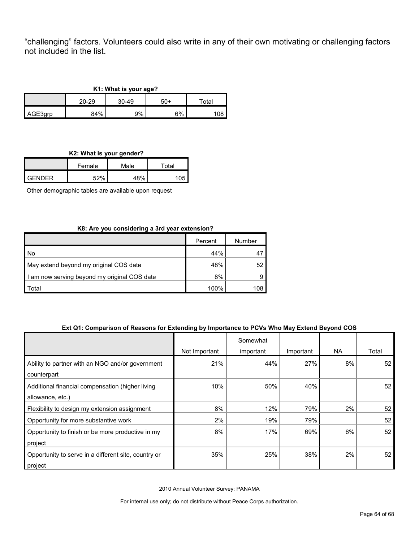"challenging" factors. Volunteers could also write in any of their own motivating or challenging factors not included in the list.

| K1: What is your age? |       |           |     |       |  |  |
|-----------------------|-------|-----------|-----|-------|--|--|
|                       | 20-29 | $30 - 49$ | 50+ | Total |  |  |
| AGE3grp               | 84%   | 9%        | 6%  | 08،   |  |  |

**K2: What is your gender?**

| . .    |        |      |       |  |  |
|--------|--------|------|-------|--|--|
|        | Female | Male | Total |  |  |
| GENDER | ᄃつ0/   | 48%  |       |  |  |

Other demographic tables are available upon request

#### **K8: Are you considering a 3rd year extension?**

|                                              | Percent | Number |
|----------------------------------------------|---------|--------|
| l No                                         | 44%     |        |
| May extend beyond my original COS date       | 48%     | 52     |
| I am now serving beyond my original COS date | 8%      | я      |
| <sup>-</sup> otal                            | 100%    | 108    |

#### **Ext Q1: Comparison of Reasons for Extending by Importance to PCVs Who May Extend Beyond COS**

|                                                      |               | Somewhat  |           |     |       |
|------------------------------------------------------|---------------|-----------|-----------|-----|-------|
|                                                      | Not Important | important | Important | NA. | Total |
| Ability to partner with an NGO and/or government     | 21%           | 44%       | 27%       | 8%  | 52    |
| counterpart                                          |               |           |           |     |       |
| Additional financial compensation (higher living     | 10%           | 50%       | 40%       |     | 52    |
| allowance, etc.)                                     |               |           |           |     |       |
| Flexibility to design my extension assignment        | 8%            | 12%       | 79%       | 2%  | 52    |
| Opportunity for more substantive work                | 2%            | 19%       | 79%       |     | 52    |
| Opportunity to finish or be more productive in my    | 8%            | 17%       | 69%       | 6%  | 52    |
| project                                              |               |           |           |     |       |
| Opportunity to serve in a different site, country or | 35%           | 25%       | 38%       | 2%  | 52    |
| project                                              |               |           |           |     |       |

2010 Annual Volunteer Survey: PANAMA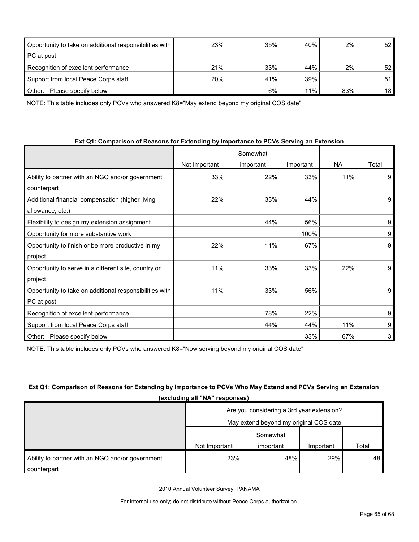| Opportunity to take on additional responsibilities with | 23% | 35% | 40% | 2%    | 52 |
|---------------------------------------------------------|-----|-----|-----|-------|----|
| PC at post                                              |     |     |     |       |    |
| Recognition of excellent performance                    | 21% | 33% | 44% | $2\%$ | 52 |
| Support from local Peace Corps staff                    | 20% | 41% | 39% |       | 51 |
| Other:<br>Please specify below                          |     | 6%  | 11% | 83%   | 18 |

NOTE: This table includes only PCVs who answered K8="May extend beyond my original COS date"

| Ext Q1: Comparison of Reasons for Extending by Importance to PCVs Serving an Extension |  |  |  |
|----------------------------------------------------------------------------------------|--|--|--|
|----------------------------------------------------------------------------------------|--|--|--|

|                                                         |               | Somewhat  |           |           |       |
|---------------------------------------------------------|---------------|-----------|-----------|-----------|-------|
|                                                         | Not Important | important | Important | <b>NA</b> | Total |
| Ability to partner with an NGO and/or government        | 33%           | 22%       | 33%       | 11%       | 9     |
| counterpart                                             |               |           |           |           |       |
| Additional financial compensation (higher living        | 22%           | 33%       | 44%       |           | 9     |
| allowance, etc.)                                        |               |           |           |           |       |
| Flexibility to design my extension assignment           |               | 44%       | 56%       |           | 9     |
| Opportunity for more substantive work                   |               |           | 100%      |           | 9     |
| Opportunity to finish or be more productive in my       | 22%           | 11%       | 67%       |           | 9     |
| project                                                 |               |           |           |           |       |
| Opportunity to serve in a different site, country or    | 11%           | 33%       | 33%       | 22%       | 9     |
| project                                                 |               |           |           |           |       |
| Opportunity to take on additional responsibilities with | 11%           | 33%       | 56%       |           | 9     |
| PC at post                                              |               |           |           |           |       |
| Recognition of excellent performance                    |               | 78%       | 22%       |           | 9     |
| Support from local Peace Corps staff                    |               | 44%       | 44%       | 11%       | 9     |
| Please specify below<br>Other:                          |               |           | 33%       | 67%       | 3     |

NOTE: This table includes only PCVs who answered K8="Now serving beyond my original COS date"

#### **Ext Q1: Comparison of Reasons for Extending by Importance to PCVs Who May Extend and PCVs Serving an Extension (excluding all "NA" responses)**

|                                                  | Are you considering a 3rd year extension? |           |           |       |  |
|--------------------------------------------------|-------------------------------------------|-----------|-----------|-------|--|
|                                                  | May extend beyond my original COS date    |           |           |       |  |
|                                                  |                                           | Somewhat  |           |       |  |
|                                                  | Not Important                             | important | Important | Total |  |
| Ability to partner with an NGO and/or government | 23%                                       | 48%       | 29%       | 48    |  |
| counterpart                                      |                                           |           |           |       |  |

2010 Annual Volunteer Survey: PANAMA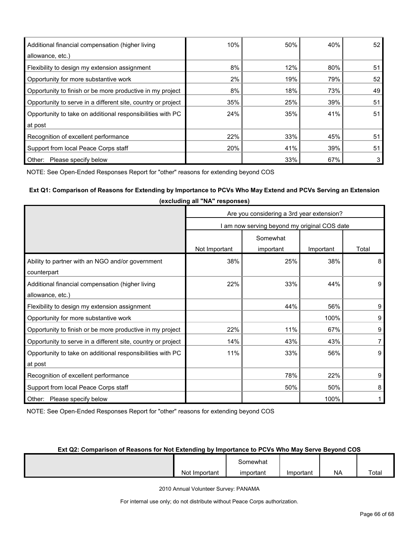| Additional financial compensation (higher living             | 10% | 50% | 40% | 52 |
|--------------------------------------------------------------|-----|-----|-----|----|
| allowance, etc.)                                             |     |     |     |    |
| Flexibility to design my extension assignment                | 8%  | 12% | 80% | 51 |
| Opportunity for more substantive work                        | 2%  | 19% | 79% | 52 |
| Opportunity to finish or be more productive in my project    | 8%  | 18% | 73% | 49 |
| Opportunity to serve in a different site, country or project | 35% | 25% | 39% | 51 |
| Opportunity to take on additional responsibilities with PC   | 24% | 35% | 41% | 51 |
| at post                                                      |     |     |     |    |
| Recognition of excellent performance                         | 22% | 33% | 45% | 51 |
| Support from local Peace Corps staff                         | 20% | 41% | 39% | 51 |
| Please specify below<br>Other:                               |     | 33% | 67% |    |

NOTE: See Open-Ended Responses Report for "other" reasons for extending beyond COS

### **Ext Q1: Comparison of Reasons for Extending by Importance to PCVs Who May Extend and PCVs Serving an Extension**

|                                                              | Are you considering a 3rd year extension?  |           |           |       |  |  |
|--------------------------------------------------------------|--------------------------------------------|-----------|-----------|-------|--|--|
|                                                              | am now serving beyond my original COS date |           |           |       |  |  |
|                                                              | Somewhat                                   |           |           |       |  |  |
|                                                              | Not Important                              | important | Important | Total |  |  |
| Ability to partner with an NGO and/or government             | 38%                                        | 25%       | 38%       | 8     |  |  |
| counterpart                                                  |                                            |           |           |       |  |  |
| Additional financial compensation (higher living             | 22%                                        | 33%       | 44%       | 9     |  |  |
| allowance, etc.)                                             |                                            |           |           |       |  |  |
| Flexibility to design my extension assignment                |                                            | 44%       | 56%       | 9     |  |  |
| Opportunity for more substantive work                        |                                            |           | 100%      | 9     |  |  |
| Opportunity to finish or be more productive in my project    | 22%                                        | 11%       | 67%       | 9     |  |  |
| Opportunity to serve in a different site, country or project | 14%                                        | 43%       | 43%       | 7     |  |  |
| Opportunity to take on additional responsibilities with PC   | 11%                                        | 33%       | 56%       | 9     |  |  |
| at post                                                      |                                            |           |           |       |  |  |
| Recognition of excellent performance                         |                                            | 78%       | 22%       | 9     |  |  |
| Support from local Peace Corps staff                         |                                            | 50%       | 50%       | 8     |  |  |
| Other: Please specify below                                  | 100%                                       |           |           |       |  |  |

**(excluding all "NA" responses)**

NOTE: See Open-Ended Responses Report for "other" reasons for extending beyond COS

#### **Ext Q2: Comparison of Reasons for Not Extending by Importance to PCVs Who May Serve Beyond COS**

|               | - omewhat |           |           |       |
|---------------|-----------|-----------|-----------|-------|
| Not Important | important | Important | <b>NA</b> | Total |

2010 Annual Volunteer Survey: PANAMA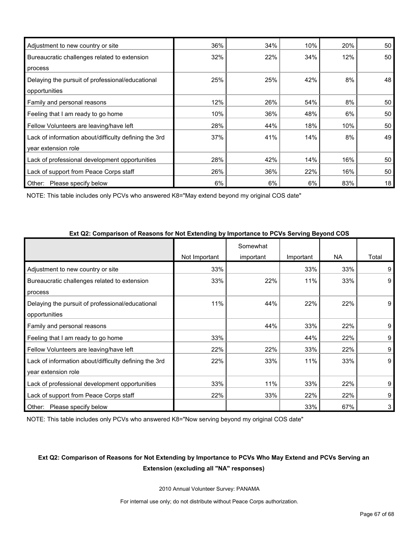| Adjustment to new country or site                     | 36% | 34% | 10% | 20% | 50 |
|-------------------------------------------------------|-----|-----|-----|-----|----|
| Bureaucratic challenges related to extension          | 32% | 22% | 34% | 12% | 50 |
| process                                               |     |     |     |     |    |
| Delaying the pursuit of professional/educational      | 25% | 25% | 42% | 8%  | 48 |
| opportunities                                         |     |     |     |     |    |
| Family and personal reasons                           | 12% | 26% | 54% | 8%  | 50 |
| Feeling that I am ready to go home                    | 10% | 36% | 48% | 6%  | 50 |
| Fellow Volunteers are leaving/have left               | 28% | 44% | 18% | 10% | 50 |
| Lack of information about/difficulty defining the 3rd | 37% | 41% | 14% | 8%  | 49 |
| year extension role                                   |     |     |     |     |    |
| Lack of professional development opportunities        | 28% | 42% | 14% | 16% | 50 |
| Lack of support from Peace Corps staff                | 26% | 36% | 22% | 16% | 50 |
| Other:<br>Please specify below                        | 6%  | 6%  | 6%  | 83% | 18 |

NOTE: This table includes only PCVs who answered K8="May extend beyond my original COS date"

| $\frac{1}{2}$ . The companion of Rodovic for Rot Extensing by importance to Ford Corring Beyond COD |               |           |           |           |       |
|-----------------------------------------------------------------------------------------------------|---------------|-----------|-----------|-----------|-------|
|                                                                                                     |               | Somewhat  |           |           |       |
|                                                                                                     | Not Important | important | Important | <b>NA</b> | Total |
| Adjustment to new country or site                                                                   | 33%           |           | 33%       | 33%       | 9     |
| Bureaucratic challenges related to extension                                                        | 33%           | 22%       | 11%       | 33%       | 9     |
| process                                                                                             |               |           |           |           |       |
| Delaying the pursuit of professional/educational                                                    | 11%           | 44%       | 22%       | 22%       | 9     |
| opportunities                                                                                       |               |           |           |           |       |
| Family and personal reasons                                                                         |               | 44%       | 33%       | 22%       | 9     |
| Feeling that I am ready to go home                                                                  | 33%           |           | 44%       | 22%       | 9     |
| Fellow Volunteers are leaving/have left                                                             | 22%           | 22%       | 33%       | 22%       | 9     |
| Lack of information about/difficulty defining the 3rd                                               | 22%           | 33%       | 11%       | 33%       | 9     |
| year extension role                                                                                 |               |           |           |           |       |
| Lack of professional development opportunities                                                      | 33%           | 11%       | 33%       | 22%       | 9     |
| Lack of support from Peace Corps staff                                                              | 22%           | 33%       | 22%       | 22%       | 9     |
| Other: Please specify below                                                                         |               |           | 33%       | 67%       | 3     |

**Ext Q2: Comparison of Reasons for Not Extending by Importance to PCVs Serving Beyond COS**

NOTE: This table includes only PCVs who answered K8="Now serving beyond my original COS date"

### **Ext Q2: Comparison of Reasons for Not Extending by Importance to PCVs Who May Extend and PCVs Serving an Extension (excluding all "NA" responses)**

2010 Annual Volunteer Survey: PANAMA